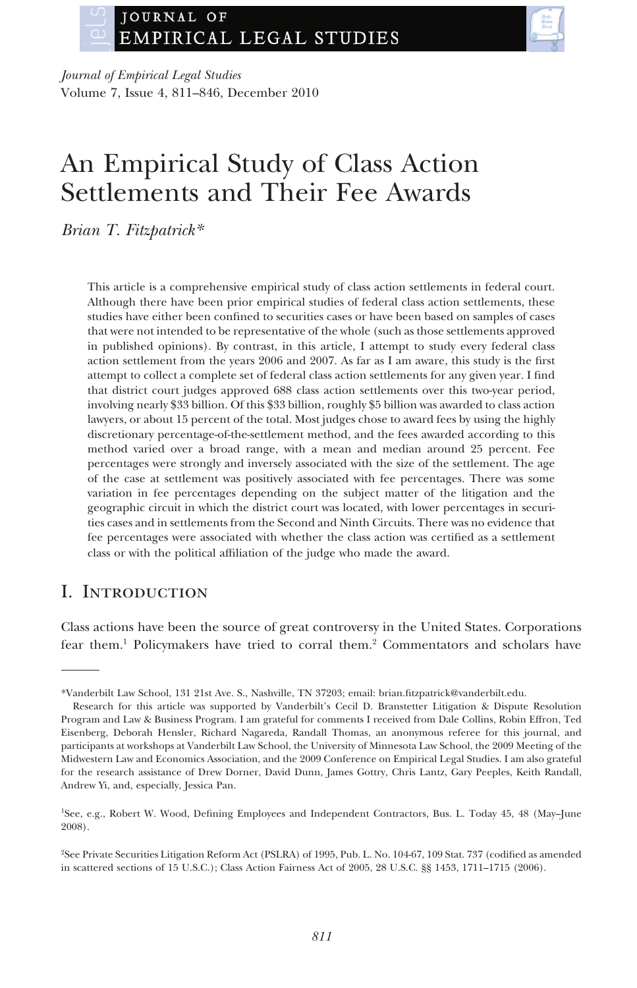

*Journal of Empirical Legal Studies* Volume 7, Issue 4, 811–846, December 2010

## An Empirical Study of Class Action Settlements and Their Fee Awards

*Brian T. Fitzpatrick\**

This article is a comprehensive empirical study of class action settlements in federal court. Although there have been prior empirical studies of federal class action settlements, these studies have either been confined to securities cases or have been based on samples of cases that were not intended to be representative of the whole (such as those settlements approved in published opinions). By contrast, in this article, I attempt to study every federal class action settlement from the years 2006 and 2007. As far as I am aware, this study is the first attempt to collect a complete set of federal class action settlements for any given year. I find that district court judges approved 688 class action settlements over this two-year period, involving nearly \$33 billion. Of this \$33 billion, roughly \$5 billion was awarded to class action lawyers, or about 15 percent of the total. Most judges chose to award fees by using the highly discretionary percentage-of-the-settlement method, and the fees awarded according to this method varied over a broad range, with a mean and median around 25 percent. Fee percentages were strongly and inversely associated with the size of the settlement. The age of the case at settlement was positively associated with fee percentages. There was some variation in fee percentages depending on the subject matter of the litigation and the geographic circuit in which the district court was located, with lower percentages in securities cases and in settlements from the Second and Ninth Circuits. There was no evidence that fee percentages were associated with whether the class action was certified as a settlement class or with the political affiliation of the judge who made the award.

## I. Introduction

Class actions have been the source of great controversy in the United States. Corporations fear them.1 Policymakers have tried to corral them.2 Commentators and scholars have

<sup>\*</sup>Vanderbilt Law School, 131 21st Ave. S., Nashville, TN 37203; email: brian.fitzpatrick@vanderbilt.edu.

Research for this article was supported by Vanderbilt's Cecil D. Branstetter Litigation & Dispute Resolution Program and Law & Business Program. I am grateful for comments I received from Dale Collins, Robin Effron, Ted Eisenberg, Deborah Hensler, Richard Nagareda, Randall Thomas, an anonymous referee for this journal, and participants at workshops at Vanderbilt Law School, the University of Minnesota Law School, the 2009 Meeting of the Midwestern Law and Economics Association, and the 2009 Conference on Empirical Legal Studies. I am also grateful for the research assistance of Drew Dorner, David Dunn, James Gottry, Chris Lantz, Gary Peeples, Keith Randall, Andrew Yi, and, especially, Jessica Pan.

<sup>&</sup>lt;sup>1</sup>See, e.g., Robert W. Wood, Defining Employees and Independent Contractors, Bus. L. Today 45, 48 (May–June 2008).

<sup>2</sup> See Private Securities Litigation Reform Act (PSLRA) of 1995, Pub. L. No. 104-67, 109 Stat. 737 (codified as amended in scattered sections of 15 U.S.C.); Class Action Fairness Act of 2005, 28 U.S.C. §§ 1453, 1711–1715 (2006).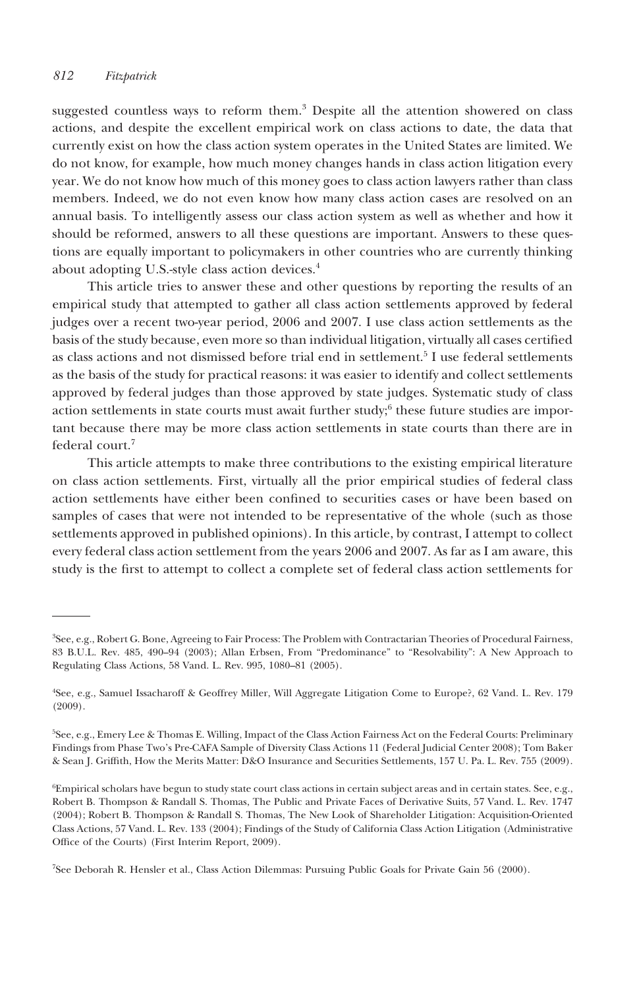suggested countless ways to reform them.3 Despite all the attention showered on class actions, and despite the excellent empirical work on class actions to date, the data that currently exist on how the class action system operates in the United States are limited. We do not know, for example, how much money changes hands in class action litigation every year. We do not know how much of this money goes to class action lawyers rather than class members. Indeed, we do not even know how many class action cases are resolved on an annual basis. To intelligently assess our class action system as well as whether and how it should be reformed, answers to all these questions are important. Answers to these questions are equally important to policymakers in other countries who are currently thinking about adopting U.S.-style class action devices.4

This article tries to answer these and other questions by reporting the results of an empirical study that attempted to gather all class action settlements approved by federal judges over a recent two-year period, 2006 and 2007. I use class action settlements as the basis of the study because, even more so than individual litigation, virtually all cases certified as class actions and not dismissed before trial end in settlement.5 I use federal settlements as the basis of the study for practical reasons: it was easier to identify and collect settlements approved by federal judges than those approved by state judges. Systematic study of class action settlements in state courts must await further study; $6$  these future studies are important because there may be more class action settlements in state courts than there are in federal court.7

This article attempts to make three contributions to the existing empirical literature on class action settlements. First, virtually all the prior empirical studies of federal class action settlements have either been confined to securities cases or have been based on samples of cases that were not intended to be representative of the whole (such as those settlements approved in published opinions). In this article, by contrast, I attempt to collect every federal class action settlement from the years 2006 and 2007. As far as I am aware, this study is the first to attempt to collect a complete set of federal class action settlements for

7 See Deborah R. Hensler et al., Class Action Dilemmas: Pursuing Public Goals for Private Gain 56 (2000).

<sup>3</sup> See, e.g., Robert G. Bone, Agreeing to Fair Process: The Problem with Contractarian Theories of Procedural Fairness, 83 B.U.L. Rev. 485, 490–94 (2003); Allan Erbsen, From "Predominance" to "Resolvability": A New Approach to Regulating Class Actions, 58 Vand. L. Rev. 995, 1080–81 (2005).

<sup>4</sup> See, e.g., Samuel Issacharoff & Geoffrey Miller, Will Aggregate Litigation Come to Europe?, 62 Vand. L. Rev. 179 (2009).

<sup>5</sup> See, e.g., Emery Lee & Thomas E. Willing, Impact of the Class Action Fairness Act on the Federal Courts: Preliminary Findings from Phase Two's Pre-CAFA Sample of Diversity Class Actions 11 (Federal Judicial Center 2008); Tom Baker & Sean J. Griffith, How the Merits Matter: D&O Insurance and Securities Settlements, 157 U. Pa. L. Rev. 755 (2009).

<sup>6</sup> Empirical scholars have begun to study state court class actions in certain subject areas and in certain states. See, e.g., Robert B. Thompson & Randall S. Thomas, The Public and Private Faces of Derivative Suits, 57 Vand. L. Rev. 1747 (2004); Robert B. Thompson & Randall S. Thomas, The New Look of Shareholder Litigation: Acquisition-Oriented Class Actions, 57 Vand. L. Rev. 133 (2004); Findings of the Study of California Class Action Litigation (Administrative Office of the Courts) (First Interim Report, 2009).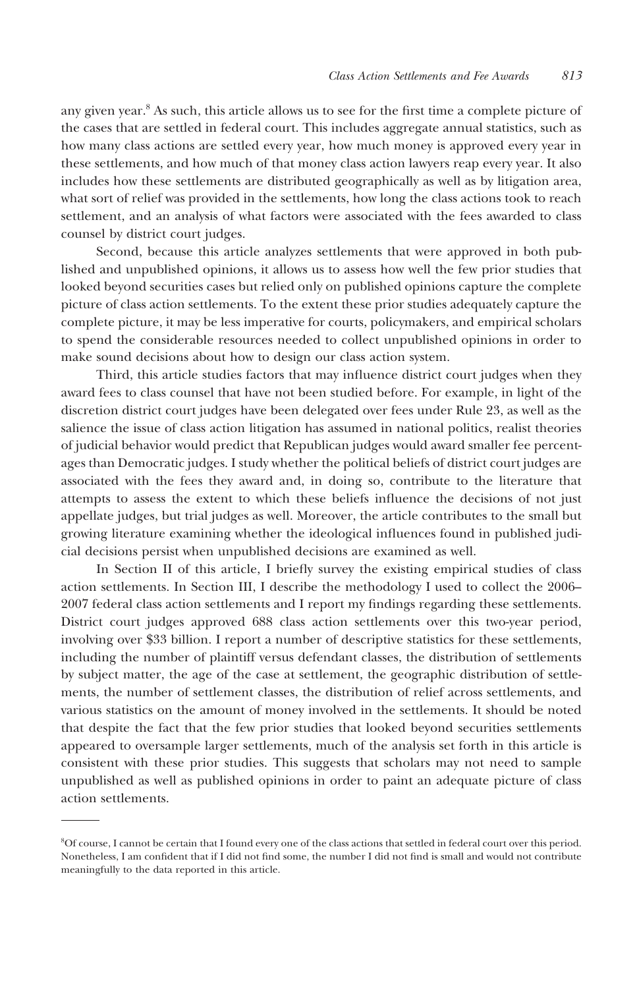any given year.8 As such, this article allows us to see for the first time a complete picture of the cases that are settled in federal court. This includes aggregate annual statistics, such as how many class actions are settled every year, how much money is approved every year in these settlements, and how much of that money class action lawyers reap every year. It also includes how these settlements are distributed geographically as well as by litigation area, what sort of relief was provided in the settlements, how long the class actions took to reach settlement, and an analysis of what factors were associated with the fees awarded to class counsel by district court judges.

Second, because this article analyzes settlements that were approved in both published and unpublished opinions, it allows us to assess how well the few prior studies that looked beyond securities cases but relied only on published opinions capture the complete picture of class action settlements. To the extent these prior studies adequately capture the complete picture, it may be less imperative for courts, policymakers, and empirical scholars to spend the considerable resources needed to collect unpublished opinions in order to make sound decisions about how to design our class action system.

Third, this article studies factors that may influence district court judges when they award fees to class counsel that have not been studied before. For example, in light of the discretion district court judges have been delegated over fees under Rule 23, as well as the salience the issue of class action litigation has assumed in national politics, realist theories of judicial behavior would predict that Republican judges would award smaller fee percentages than Democratic judges. I study whether the political beliefs of district court judges are associated with the fees they award and, in doing so, contribute to the literature that attempts to assess the extent to which these beliefs influence the decisions of not just appellate judges, but trial judges as well. Moreover, the article contributes to the small but growing literature examining whether the ideological influences found in published judicial decisions persist when unpublished decisions are examined as well.

In Section II of this article, I briefly survey the existing empirical studies of class action settlements. In Section III, I describe the methodology I used to collect the 2006– 2007 federal class action settlements and I report my findings regarding these settlements. District court judges approved 688 class action settlements over this two-year period, involving over \$33 billion. I report a number of descriptive statistics for these settlements, including the number of plaintiff versus defendant classes, the distribution of settlements by subject matter, the age of the case at settlement, the geographic distribution of settlements, the number of settlement classes, the distribution of relief across settlements, and various statistics on the amount of money involved in the settlements. It should be noted that despite the fact that the few prior studies that looked beyond securities settlements appeared to oversample larger settlements, much of the analysis set forth in this article is consistent with these prior studies. This suggests that scholars may not need to sample unpublished as well as published opinions in order to paint an adequate picture of class action settlements.

<sup>8</sup> Of course, I cannot be certain that I found every one of the class actions that settled in federal court over this period. Nonetheless, I am confident that if I did not find some, the number I did not find is small and would not contribute meaningfully to the data reported in this article.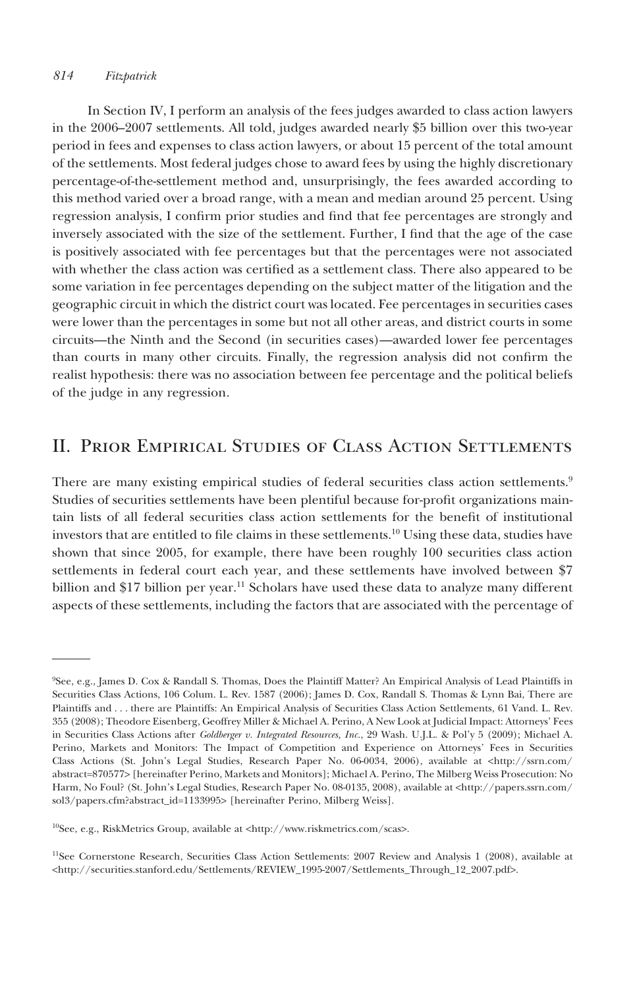In Section IV, I perform an analysis of the fees judges awarded to class action lawyers in the 2006–2007 settlements. All told, judges awarded nearly \$5 billion over this two-year period in fees and expenses to class action lawyers, or about 15 percent of the total amount of the settlements. Most federal judges chose to award fees by using the highly discretionary percentage-of-the-settlement method and, unsurprisingly, the fees awarded according to this method varied over a broad range, with a mean and median around 25 percent. Using regression analysis, I confirm prior studies and find that fee percentages are strongly and inversely associated with the size of the settlement. Further, I find that the age of the case is positively associated with fee percentages but that the percentages were not associated with whether the class action was certified as a settlement class. There also appeared to be some variation in fee percentages depending on the subject matter of the litigation and the geographic circuit in which the district court was located. Fee percentages in securities cases were lower than the percentages in some but not all other areas, and district courts in some circuits—the Ninth and the Second (in securities cases)—awarded lower fee percentages than courts in many other circuits. Finally, the regression analysis did not confirm the realist hypothesis: there was no association between fee percentage and the political beliefs of the judge in any regression.

## II. Prior Empirical Studies of Class Action Settlements

There are many existing empirical studies of federal securities class action settlements.<sup>9</sup> Studies of securities settlements have been plentiful because for-profit organizations maintain lists of all federal securities class action settlements for the benefit of institutional investors that are entitled to file claims in these settlements.10 Using these data, studies have shown that since 2005, for example, there have been roughly 100 securities class action settlements in federal court each year, and these settlements have involved between \$7 billion and \$17 billion per year.<sup>11</sup> Scholars have used these data to analyze many different aspects of these settlements, including the factors that are associated with the percentage of

<sup>9</sup> See, e.g., James D. Cox & Randall S. Thomas, Does the Plaintiff Matter? An Empirical Analysis of Lead Plaintiffs in Securities Class Actions, 106 Colum. L. Rev. 1587 (2006); James D. Cox, Randall S. Thomas & Lynn Bai, There are Plaintiffs and . . . there are Plaintiffs: An Empirical Analysis of Securities Class Action Settlements, 61 Vand. L. Rev. 355 (2008); Theodore Eisenberg, Geoffrey Miller & Michael A. Perino, A New Look at Judicial Impact: Attorneys' Fees in Securities Class Actions after *Goldberger v. Integrated Resources, Inc.*, 29 Wash. U.J.L. & Pol'y 5 (2009); Michael A. Perino, Markets and Monitors: The Impact of Competition and Experience on Attorneys' Fees in Securities Class Actions (St. John's Legal Studies, Research Paper No. 06-0034, 2006), available at <http://ssrn.com/ abstract=870577> [hereinafter Perino, Markets and Monitors]; Michael A. Perino, The Milberg Weiss Prosecution: No Harm, No Foul? (St. John's Legal Studies, Research Paper No. 08-0135, 2008), available at <http://papers.ssrn.com/ sol3/papers.cfm?abstract\_id=1133995> [hereinafter Perino, Milberg Weiss].

<sup>10</sup>See, e.g., RiskMetrics Group, available at <http://www.riskmetrics.com/scas>.

<sup>&</sup>lt;sup>11</sup>See Cornerstone Research, Securities Class Action Settlements: 2007 Review and Analysis 1 (2008), available at <http://securities.stanford.edu/Settlements/REVIEW\_1995-2007/Settlements\_Through\_12\_2007.pdf>.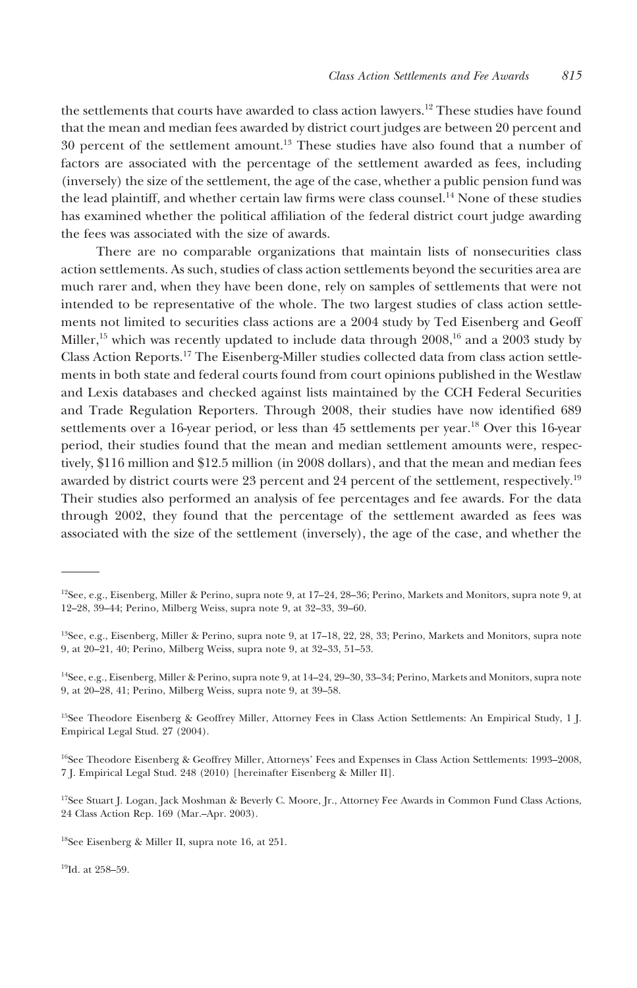the settlements that courts have awarded to class action lawyers.<sup>12</sup> These studies have found that the mean and median fees awarded by district court judges are between 20 percent and 30 percent of the settlement amount.13 These studies have also found that a number of factors are associated with the percentage of the settlement awarded as fees, including (inversely) the size of the settlement, the age of the case, whether a public pension fund was the lead plaintiff, and whether certain law firms were class counsel.14 None of these studies has examined whether the political affiliation of the federal district court judge awarding the fees was associated with the size of awards.

There are no comparable organizations that maintain lists of nonsecurities class action settlements. As such, studies of class action settlements beyond the securities area are much rarer and, when they have been done, rely on samples of settlements that were not intended to be representative of the whole. The two largest studies of class action settlements not limited to securities class actions are a 2004 study by Ted Eisenberg and Geoff Miller,<sup>15</sup> which was recently updated to include data through  $2008$ ,<sup>16</sup> and a 2003 study by Class Action Reports.17 The Eisenberg-Miller studies collected data from class action settlements in both state and federal courts found from court opinions published in the Westlaw and Lexis databases and checked against lists maintained by the CCH Federal Securities and Trade Regulation Reporters. Through 2008, their studies have now identified 689 settlements over a 16-year period, or less than 45 settlements per year.<sup>18</sup> Over this 16-year period, their studies found that the mean and median settlement amounts were, respectively, \$116 million and \$12.5 million (in 2008 dollars), and that the mean and median fees awarded by district courts were 23 percent and 24 percent of the settlement, respectively.19 Their studies also performed an analysis of fee percentages and fee awards. For the data through 2002, they found that the percentage of the settlement awarded as fees was associated with the size of the settlement (inversely), the age of the case, and whether the

<sup>17</sup>See Stuart J. Logan, Jack Moshman & Beverly C. Moore, Jr., Attorney Fee Awards in Common Fund Class Actions, 24 Class Action Rep. 169 (Mar.–Apr. 2003).

<sup>19</sup>Id. at 258-59.

 $12$ See, e.g., Eisenberg, Miller & Perino, supra note 9, at  $17-24$ ,  $28-36$ ; Perino, Markets and Monitors, supra note 9, at 12–28, 39–44; Perino, Milberg Weiss, supra note 9, at 32–33, 39–60.

<sup>13</sup>See, e.g., Eisenberg, Miller & Perino, supra note 9, at 17–18, 22, 28, 33; Perino, Markets and Monitors, supra note 9, at 20–21, 40; Perino, Milberg Weiss, supra note 9, at 32–33, 51–53.

<sup>14</sup>See, e.g., Eisenberg, Miller & Perino, supra note 9, at 14–24, 29–30, 33–34; Perino, Markets and Monitors, supra note 9, at 20–28, 41; Perino, Milberg Weiss, supra note 9, at 39–58.

<sup>&</sup>lt;sup>15</sup>See Theodore Eisenberg & Geoffrey Miller, Attorney Fees in Class Action Settlements: An Empirical Study, 1 J. Empirical Legal Stud. 27 (2004).

<sup>16</sup>See Theodore Eisenberg & Geoffrey Miller, Attorneys' Fees and Expenses in Class Action Settlements: 1993–2008, 7 J. Empirical Legal Stud. 248 (2010) [hereinafter Eisenberg & Miller II].

<sup>18</sup>See Eisenberg & Miller II, supra note 16, at 251.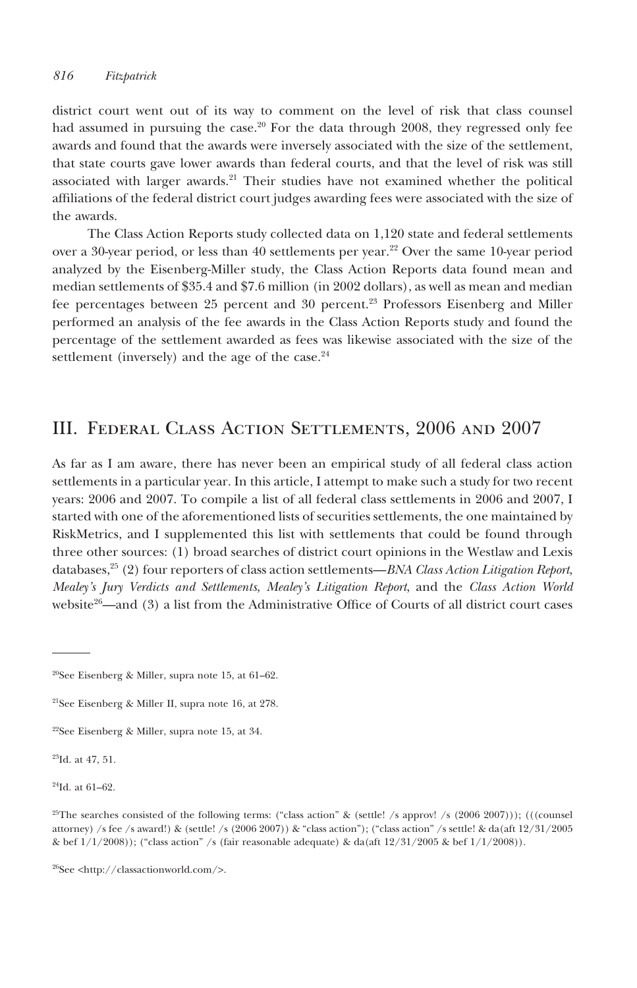district court went out of its way to comment on the level of risk that class counsel had assumed in pursuing the case.<sup>20</sup> For the data through 2008, they regressed only fee awards and found that the awards were inversely associated with the size of the settlement, that state courts gave lower awards than federal courts, and that the level of risk was still associated with larger awards.<sup>21</sup> Their studies have not examined whether the political affiliations of the federal district court judges awarding fees were associated with the size of the awards.

The Class Action Reports study collected data on 1,120 state and federal settlements over a 30-year period, or less than 40 settlements per year.22 Over the same 10-year period analyzed by the Eisenberg-Miller study, the Class Action Reports data found mean and median settlements of \$35.4 and \$7.6 million (in 2002 dollars), as well as mean and median fee percentages between 25 percent and 30 percent.23 Professors Eisenberg and Miller performed an analysis of the fee awards in the Class Action Reports study and found the percentage of the settlement awarded as fees was likewise associated with the size of the settlement (inversely) and the age of the case. $24$ 

## III. Federal Class Action Settlements, 2006 and 2007

As far as I am aware, there has never been an empirical study of all federal class action settlements in a particular year. In this article, I attempt to make such a study for two recent years: 2006 and 2007. To compile a list of all federal class settlements in 2006 and 2007, I started with one of the aforementioned lists of securities settlements, the one maintained by RiskMetrics, and I supplemented this list with settlements that could be found through three other sources: (1) broad searches of district court opinions in the Westlaw and Lexis databases,25 (2) four reporters of class action settlements—*BNA Class Action Litigation Report*, *Mealey's Jury Verdicts and Settlements*, *Mealey's Litigation Report*, and the *Class Action World* website $26$ —and (3) a list from the Administrative Office of Courts of all district court cases

23Id. at 47, 51.

24Id. at 61–62.

<sup>25</sup>The searches consisted of the following terms: ("class action" & (settle! /s approv! /s (2006 2007))); (((counsel attorney) /s fee /s award!) & (settle! /s (2006 2007)) & "class action"); ("class action" /s settle! & da(aft 12/31/2005 & bef  $1/1/2008$ )); ("class action" /s (fair reasonable adequate) & da(aft  $12/31/2005$  & bef  $1/1/2008$ )).

26See <http://classactionworld.com/>.

<sup>&</sup>lt;sup>20</sup>See Eisenberg & Miller, supra note 15, at 61–62.

<sup>21</sup>See Eisenberg & Miller II, supra note 16, at 278.

<sup>22</sup>See Eisenberg & Miller, supra note 15, at 34.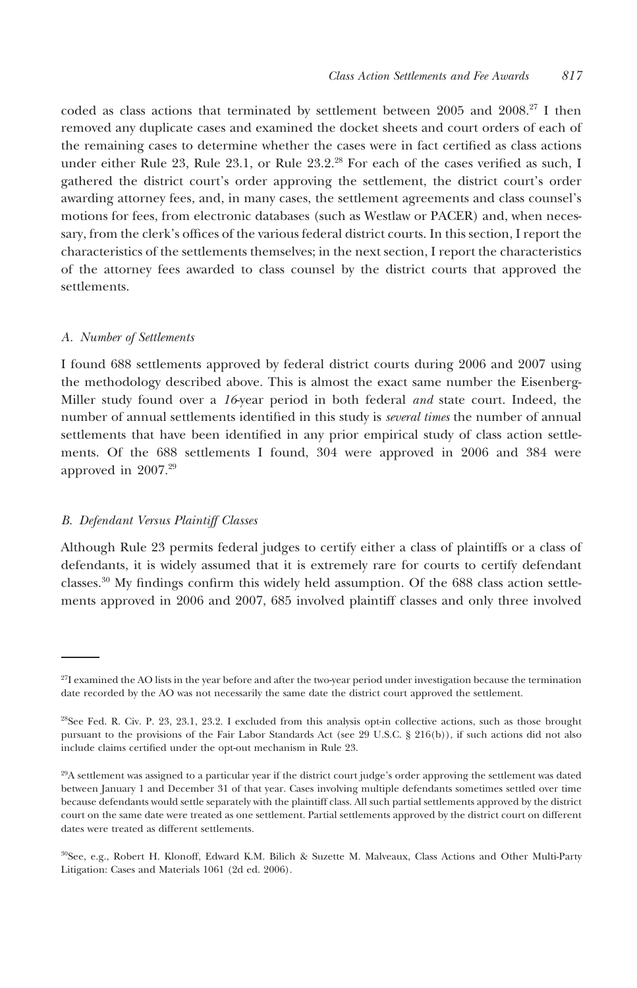coded as class actions that terminated by settlement between 2005 and 2008.<sup>27</sup> I then removed any duplicate cases and examined the docket sheets and court orders of each of the remaining cases to determine whether the cases were in fact certified as class actions under either Rule 23, Rule 23.1, or Rule  $23.2$ .<sup>28</sup> For each of the cases verified as such, I gathered the district court's order approving the settlement, the district court's order awarding attorney fees, and, in many cases, the settlement agreements and class counsel's motions for fees, from electronic databases (such as Westlaw or PACER) and, when necessary, from the clerk's offices of the various federal district courts. In this section, I report the characteristics of the settlements themselves; in the next section, I report the characteristics of the attorney fees awarded to class counsel by the district courts that approved the settlements.

#### *A. Number of Settlements*

I found 688 settlements approved by federal district courts during 2006 and 2007 using the methodology described above. This is almost the exact same number the Eisenberg-Miller study found over a *16*-year period in both federal *and* state court. Indeed, the number of annual settlements identified in this study is *several times* the number of annual settlements that have been identified in any prior empirical study of class action settlements. Of the 688 settlements I found, 304 were approved in 2006 and 384 were approved in 2007.29

#### *B. Defendant Versus Plaintiff Classes*

Although Rule 23 permits federal judges to certify either a class of plaintiffs or a class of defendants, it is widely assumed that it is extremely rare for courts to certify defendant classes.30 My findings confirm this widely held assumption. Of the 688 class action settlements approved in 2006 and 2007, 685 involved plaintiff classes and only three involved

<sup>&</sup>lt;sup>27</sup>I examined the AO lists in the year before and after the two-year period under investigation because the termination date recorded by the AO was not necessarily the same date the district court approved the settlement.

 $28$ See Fed. R. Civ. P. 23, 23.1, 23.2. I excluded from this analysis opt-in collective actions, such as those brought pursuant to the provisions of the Fair Labor Standards Act (see 29 U.S.C. § 216(b)), if such actions did not also include claims certified under the opt-out mechanism in Rule 23.

<sup>&</sup>lt;sup>29</sup>A settlement was assigned to a particular year if the district court judge's order approving the settlement was dated between January 1 and December 31 of that year. Cases involving multiple defendants sometimes settled over time because defendants would settle separately with the plaintiff class. All such partial settlements approved by the district court on the same date were treated as one settlement. Partial settlements approved by the district court on different dates were treated as different settlements.

<sup>30</sup>See, e.g., Robert H. Klonoff, Edward K.M. Bilich & Suzette M. Malveaux, Class Actions and Other Multi-Party Litigation: Cases and Materials 1061 (2d ed. 2006).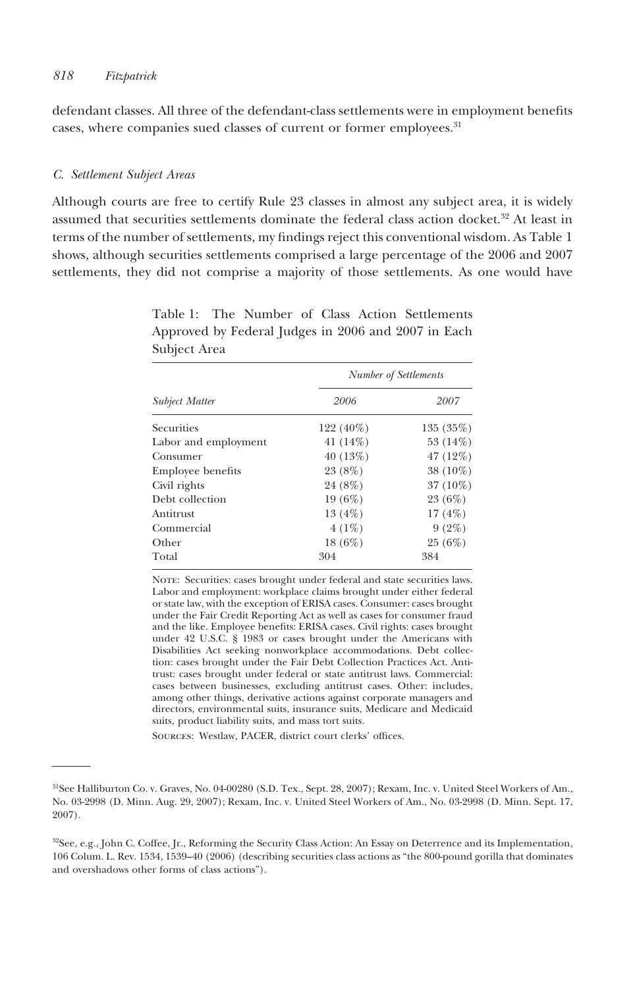defendant classes. All three of the defendant-class settlements were in employment benefits cases, where companies sued classes of current or former employees.<sup>31</sup>

#### *C. Settlement Subject Areas*

Although courts are free to certify Rule 23 classes in almost any subject area, it is widely assumed that securities settlements dominate the federal class action docket.<sup>32</sup> At least in terms of the number of settlements, my findings reject this conventional wisdom. As Table 1 shows, although securities settlements comprised a large percentage of the 2006 and 2007 settlements, they did not comprise a majority of those settlements. As one would have

| <b>Subject Matter</b> | Number of Settlements |             |  |
|-----------------------|-----------------------|-------------|--|
|                       | 2006                  | 2007        |  |
| Securities            | 122 (40%)             | $135(35\%)$ |  |
| Labor and employment  | 41 $(14%)$            | 53 (14%)    |  |
| Consumer              | 40 (13%)              | 47 (12%)    |  |
| Employee benefits     | 23 (8%)               | 38 (10%)    |  |
| Civil rights          | 24 (8%)               | $37(10\%)$  |  |
| Debt collection       | $19(6\%)$             | 23 (6%)     |  |
| Antitrust             | 13(4%)                | 17(4%)      |  |
| Commercial            | $4(1\%)$              | $9(2\%)$    |  |
| Other                 | $18(6\%)$             | 25(6%)      |  |
| Total                 | 304                   | 384         |  |

Table 1: The Number of Class Action Settlements Approved by Federal Judges in 2006 and 2007 in Each Subject Area

NOTE: Securities: cases brought under federal and state securities laws. Labor and employment: workplace claims brought under either federal or state law, with the exception of ERISA cases. Consumer: cases brought under the Fair Credit Reporting Act as well as cases for consumer fraud and the like. Employee benefits: ERISA cases. Civil rights: cases brought under 42 U.S.C. § 1983 or cases brought under the Americans with Disabilities Act seeking nonworkplace accommodations. Debt collection: cases brought under the Fair Debt Collection Practices Act. Antitrust: cases brought under federal or state antitrust laws. Commercial: cases between businesses, excluding antitrust cases. Other: includes, among other things, derivative actions against corporate managers and directors, environmental suits, insurance suits, Medicare and Medicaid suits, product liability suits, and mass tort suits.

Sources: Westlaw, PACER, district court clerks' offices.

<sup>31</sup>See Halliburton Co. v. Graves, No. 04-00280 (S.D. Tex., Sept. 28, 2007); Rexam, Inc. v. United Steel Workers of Am., No. 03-2998 (D. Minn. Aug. 29, 2007); Rexam, Inc. v. United Steel Workers of Am., No. 03-2998 (D. Minn. Sept. 17, 2007).

 $32$ See, e.g., John C. Coffee, Jr., Reforming the Security Class Action: An Essay on Deterrence and its Implementation, 106 Colum. L. Rev. 1534, 1539–40 (2006) (describing securities class actions as "the 800-pound gorilla that dominates and overshadows other forms of class actions").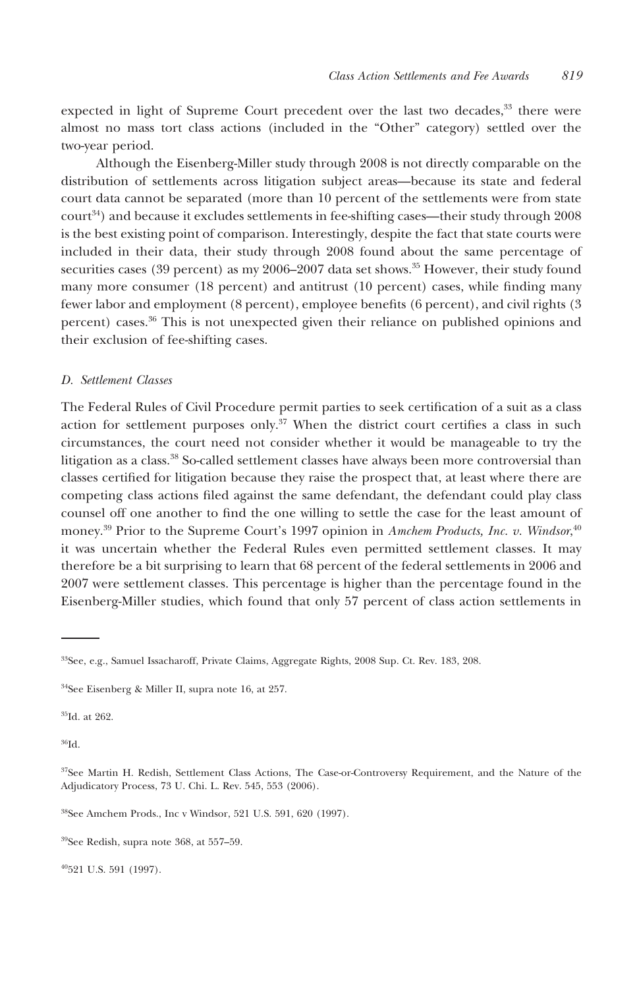expected in light of Supreme Court precedent over the last two decades,<sup>33</sup> there were almost no mass tort class actions (included in the "Other" category) settled over the two-year period.

Although the Eisenberg-Miller study through 2008 is not directly comparable on the distribution of settlements across litigation subject areas—because its state and federal court data cannot be separated (more than 10 percent of the settlements were from state court<sup>34</sup>) and because it excludes settlements in fee-shifting cases—their study through 2008 is the best existing point of comparison. Interestingly, despite the fact that state courts were included in their data, their study through 2008 found about the same percentage of securities cases (39 percent) as my 2006–2007 data set shows.35 However, their study found many more consumer (18 percent) and antitrust (10 percent) cases, while finding many fewer labor and employment (8 percent), employee benefits (6 percent), and civil rights (3 percent) cases.36 This is not unexpected given their reliance on published opinions and their exclusion of fee-shifting cases.

#### *D. Settlement Classes*

The Federal Rules of Civil Procedure permit parties to seek certification of a suit as a class action for settlement purposes only.<sup>37</sup> When the district court certifies a class in such circumstances, the court need not consider whether it would be manageable to try the litigation as a class.<sup>38</sup> So-called settlement classes have always been more controversial than classes certified for litigation because they raise the prospect that, at least where there are competing class actions filed against the same defendant, the defendant could play class counsel off one another to find the one willing to settle the case for the least amount of money.39 Prior to the Supreme Court's 1997 opinion in *Amchem Products, Inc. v. Windsor*, 40 it was uncertain whether the Federal Rules even permitted settlement classes. It may therefore be a bit surprising to learn that 68 percent of the federal settlements in 2006 and 2007 were settlement classes. This percentage is higher than the percentage found in the Eisenberg-Miller studies, which found that only 57 percent of class action settlements in

35Id. at 262.

 $^{36}$ Id.

<sup>33</sup>See, e.g., Samuel Issacharoff, Private Claims, Aggregate Rights, 2008 Sup. Ct. Rev. 183, 208.

<sup>34</sup>See Eisenberg & Miller II, supra note 16, at 257.

<sup>37</sup>See Martin H. Redish, Settlement Class Actions, The Case-or-Controversy Requirement, and the Nature of the Adjudicatory Process, 73 U. Chi. L. Rev. 545, 553 (2006).

<sup>38</sup>See Amchem Prods., Inc v Windsor, 521 U.S. 591, 620 (1997).

<sup>39</sup>See Redish, supra note 368, at 557–59.

<sup>40521</sup> U.S. 591 (1997).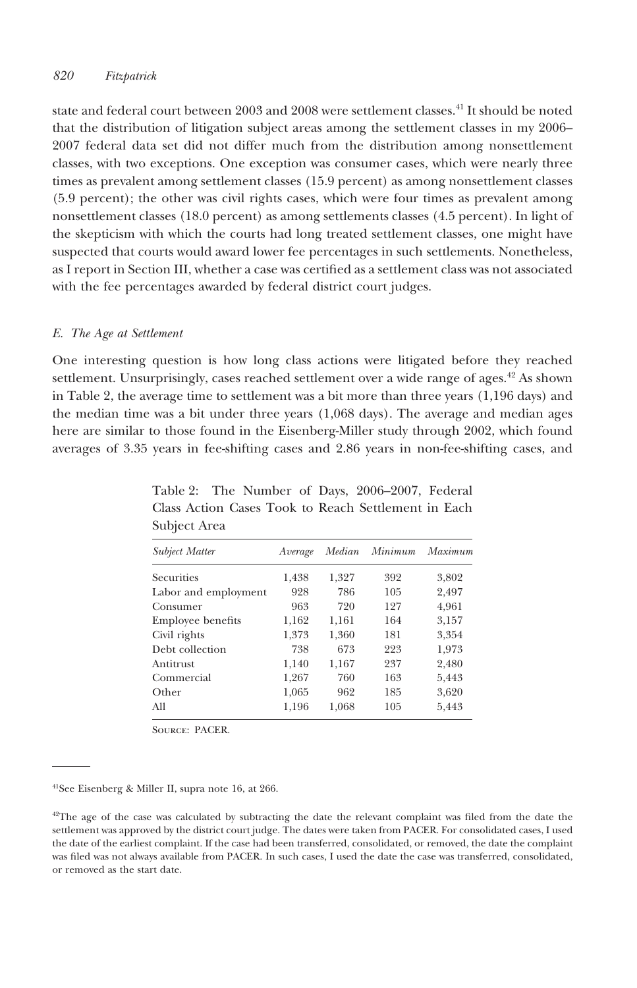state and federal court between 2003 and 2008 were settlement classes.<sup>41</sup> It should be noted that the distribution of litigation subject areas among the settlement classes in my 2006– 2007 federal data set did not differ much from the distribution among nonsettlement classes, with two exceptions. One exception was consumer cases, which were nearly three times as prevalent among settlement classes (15.9 percent) as among nonsettlement classes (5.9 percent); the other was civil rights cases, which were four times as prevalent among nonsettlement classes (18.0 percent) as among settlements classes (4.5 percent). In light of the skepticism with which the courts had long treated settlement classes, one might have suspected that courts would award lower fee percentages in such settlements. Nonetheless, as I report in Section III, whether a case was certified as a settlement class was not associated with the fee percentages awarded by federal district court judges.

#### *E. The Age at Settlement*

One interesting question is how long class actions were litigated before they reached settlement. Unsurprisingly, cases reached settlement over a wide range of ages.<sup>42</sup> As shown in Table 2, the average time to settlement was a bit more than three years (1,196 days) and the median time was a bit under three years (1,068 days). The average and median ages here are similar to those found in the Eisenberg-Miller study through 2002, which found averages of 3.35 years in fee-shifting cases and 2.86 years in non-fee-shifting cases, and

| <b>Subject Matter</b>    | Average | Median | Minimum | Maximum |
|--------------------------|---------|--------|---------|---------|
| <b>Securities</b>        | 1,438   | 1,327  | 392     | 3.802   |
| Labor and employment     | 928     | 786    | 105     | 2,497   |
| Consumer                 | 963     | 720    | 127     | 4,961   |
| <b>Employee benefits</b> | 1.162   | 1.161  | 164     | 3,157   |
| Civil rights             | 1.373   | 1.360  | 181     | 3.354   |
| Debt collection          | 738     | 673    | 223     | 1,973   |
| Antitrust                | 1,140   | 1.167  | 237     | 2,480   |
| Commercial               | 1,267   | 760    | 163     | 5,443   |
| Other                    | 1,065   | 962    | 185     | 3,620   |
| A11                      | 1,196   | 1,068  | 105     | 5,443   |

Table 2: The Number of Days, 2006–2007, Federal Class Action Cases Took to Reach Settlement in Each Subject Area

Source: PACER.

<sup>41</sup>See Eisenberg & Miller II, supra note 16, at 266.

 $42$ The age of the case was calculated by subtracting the date the relevant complaint was filed from the date the settlement was approved by the district court judge. The dates were taken from PACER. For consolidated cases, I used the date of the earliest complaint. If the case had been transferred, consolidated, or removed, the date the complaint was filed was not always available from PACER. In such cases, I used the date the case was transferred, consolidated, or removed as the start date.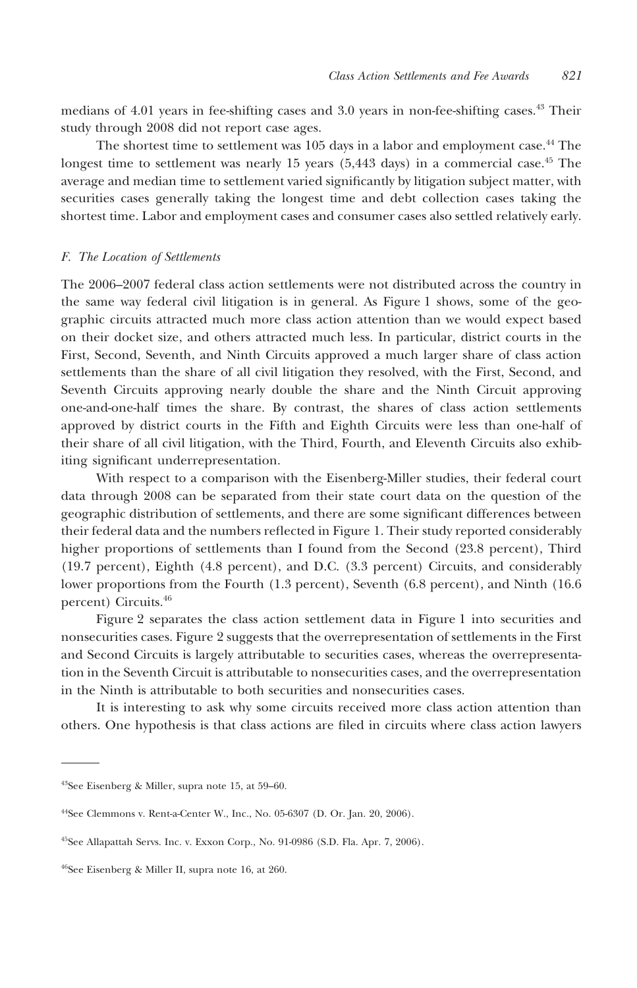medians of 4.01 years in fee-shifting cases and 3.0 years in non-fee-shifting cases.<sup>43</sup> Their study through 2008 did not report case ages.

The shortest time to settlement was 105 days in a labor and employment case.44 The longest time to settlement was nearly 15 years (5,443 days) in a commercial case.45 The average and median time to settlement varied significantly by litigation subject matter, with securities cases generally taking the longest time and debt collection cases taking the shortest time. Labor and employment cases and consumer cases also settled relatively early.

#### *F. The Location of Settlements*

The 2006–2007 federal class action settlements were not distributed across the country in the same way federal civil litigation is in general. As Figure 1 shows, some of the geographic circuits attracted much more class action attention than we would expect based on their docket size, and others attracted much less. In particular, district courts in the First, Second, Seventh, and Ninth Circuits approved a much larger share of class action settlements than the share of all civil litigation they resolved, with the First, Second, and Seventh Circuits approving nearly double the share and the Ninth Circuit approving one-and-one-half times the share. By contrast, the shares of class action settlements approved by district courts in the Fifth and Eighth Circuits were less than one-half of their share of all civil litigation, with the Third, Fourth, and Eleventh Circuits also exhibiting significant underrepresentation.

With respect to a comparison with the Eisenberg-Miller studies, their federal court data through 2008 can be separated from their state court data on the question of the geographic distribution of settlements, and there are some significant differences between their federal data and the numbers reflected in Figure 1. Their study reported considerably higher proportions of settlements than I found from the Second (23.8 percent), Third (19.7 percent), Eighth (4.8 percent), and D.C. (3.3 percent) Circuits, and considerably lower proportions from the Fourth (1.3 percent), Seventh (6.8 percent), and Ninth (16.6 percent) Circuits.46

Figure 2 separates the class action settlement data in Figure 1 into securities and nonsecurities cases. Figure 2 suggests that the overrepresentation of settlements in the First and Second Circuits is largely attributable to securities cases, whereas the overrepresentation in the Seventh Circuit is attributable to nonsecurities cases, and the overrepresentation in the Ninth is attributable to both securities and nonsecurities cases.

It is interesting to ask why some circuits received more class action attention than others. One hypothesis is that class actions are filed in circuits where class action lawyers

<sup>43</sup>See Eisenberg & Miller, supra note 15, at 59–60.

<sup>44</sup>See Clemmons v. Rent-a-Center W., Inc., No. 05-6307 (D. Or. Jan. 20, 2006).

<sup>45</sup>See Allapattah Servs. Inc. v. Exxon Corp., No. 91-0986 (S.D. Fla. Apr. 7, 2006).

<sup>46</sup>See Eisenberg & Miller II, supra note 16, at 260.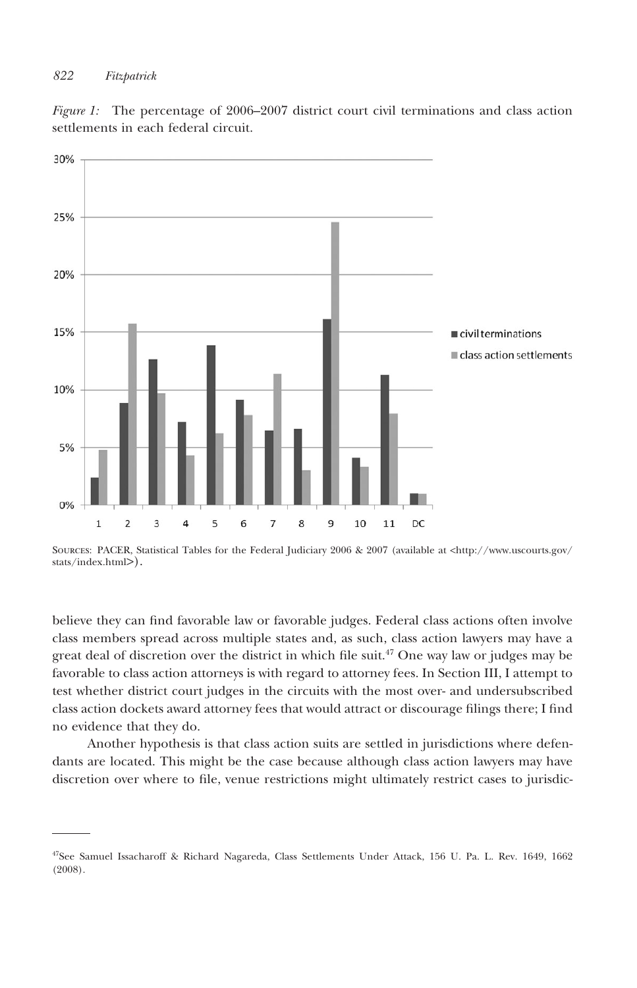*Figure 1:* The percentage of 2006–2007 district court civil terminations and class action settlements in each federal circuit.



Sources: PACER, Statistical Tables for the Federal Judiciary 2006 & 2007 (available at <http://www.uscourts.gov/ stats/index.html>).

believe they can find favorable law or favorable judges. Federal class actions often involve class members spread across multiple states and, as such, class action lawyers may have a great deal of discretion over the district in which file suit.<sup>47</sup> One way law or judges may be favorable to class action attorneys is with regard to attorney fees. In Section III, I attempt to test whether district court judges in the circuits with the most over- and undersubscribed class action dockets award attorney fees that would attract or discourage filings there; I find no evidence that they do.

Another hypothesis is that class action suits are settled in jurisdictions where defendants are located. This might be the case because although class action lawyers may have discretion over where to file, venue restrictions might ultimately restrict cases to jurisdic-

<sup>47</sup>See Samuel Issacharoff & Richard Nagareda, Class Settlements Under Attack, 156 U. Pa. L. Rev. 1649, 1662 (2008).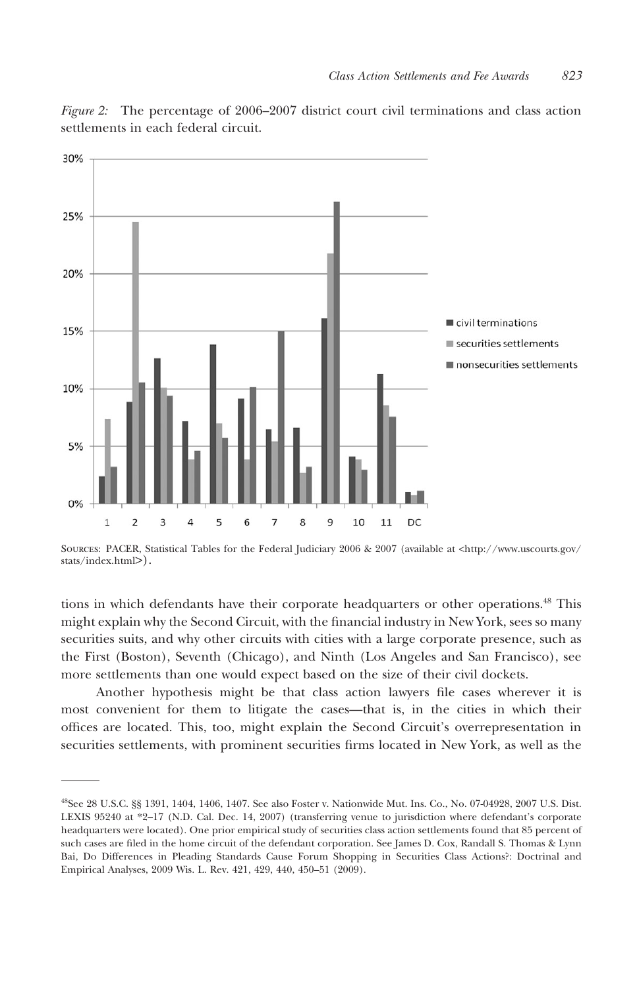

*Figure 2:* The percentage of 2006–2007 district court civil terminations and class action settlements in each federal circuit.

tions in which defendants have their corporate headquarters or other operations.<sup>48</sup> This might explain why the Second Circuit, with the financial industry in New York, sees so many securities suits, and why other circuits with cities with a large corporate presence, such as the First (Boston), Seventh (Chicago), and Ninth (Los Angeles and San Francisco), see more settlements than one would expect based on the size of their civil dockets.

Another hypothesis might be that class action lawyers file cases wherever it is most convenient for them to litigate the cases—that is, in the cities in which their offices are located. This, too, might explain the Second Circuit's overrepresentation in securities settlements, with prominent securities firms located in New York, as well as the

Sources: PACER, Statistical Tables for the Federal Judiciary 2006 & 2007 (available at <http://www.uscourts.gov/ stats/index.html>).

<sup>48</sup>See 28 U.S.C. §§ 1391, 1404, 1406, 1407. See also Foster v. Nationwide Mut. Ins. Co., No. 07-04928, 2007 U.S. Dist. LEXIS 95240 at \*2–17 (N.D. Cal. Dec. 14, 2007) (transferring venue to jurisdiction where defendant's corporate headquarters were located). One prior empirical study of securities class action settlements found that 85 percent of such cases are filed in the home circuit of the defendant corporation. See James D. Cox, Randall S. Thomas & Lynn Bai, Do Differences in Pleading Standards Cause Forum Shopping in Securities Class Actions?: Doctrinal and Empirical Analyses, 2009 Wis. L. Rev. 421, 429, 440, 450–51 (2009).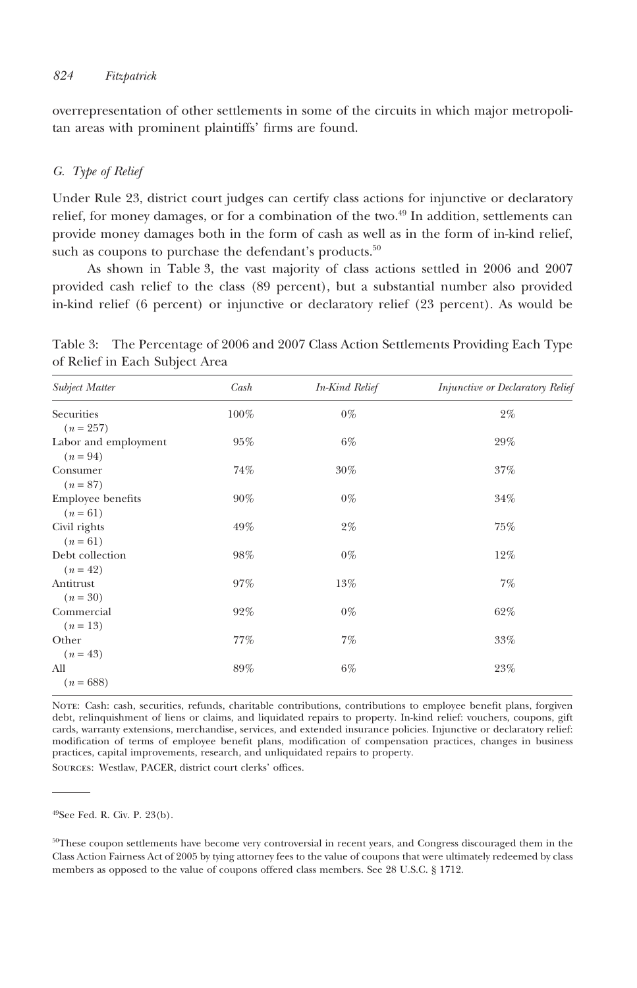overrepresentation of other settlements in some of the circuits in which major metropolitan areas with prominent plaintiffs' firms are found.

#### *G. Type of Relief*

Under Rule 23, district court judges can certify class actions for injunctive or declaratory relief, for money damages, or for a combination of the two.<sup>49</sup> In addition, settlements can provide money damages both in the form of cash as well as in the form of in-kind relief, such as coupons to purchase the defendant's products.<sup>50</sup>

As shown in Table 3, the vast majority of class actions settled in 2006 and 2007 provided cash relief to the class (89 percent), but a substantial number also provided in-kind relief (6 percent) or injunctive or declaratory relief (23 percent). As would be

| $\alpha$ reflect in Euch suspect them |      |                       |                                  |
|---------------------------------------|------|-----------------------|----------------------------------|
| Subject Matter                        | Cash | <b>In-Kind Relief</b> | Injunctive or Declaratory Relief |
| Securities<br>$(n = 257)$             | 100% | $0\%$                 | $2\%$                            |
| Labor and employment<br>$(n = 94)$    | 95%  | $6\%$                 | 29%                              |
| Consumer<br>$(n = 87)$                | 74%  | $30\%$                | 37%                              |
| Employee benefits<br>$(n = 61)$       | 90%  | $0\%$                 | 34%                              |
| Civil rights<br>$(n = 61)$            | 49%  | $2\%$                 | 75%                              |
| Debt collection<br>$(n = 42)$         | 98%  | $0\%$                 | 12%                              |
| Antitrust<br>$(n=30)$                 | 97%  | 13%                   | 7%                               |
| Commercial<br>$(n=13)$                | 92%  | $0\%$                 | 62%                              |
| Other<br>$(n = 43)$                   | 77%  | 7%                    | 33%                              |
| All                                   | 89%  | $6\%$                 | 23%                              |

Table 3: The Percentage of 2006 and 2007 Class Action Settlements Providing Each Type of Relief in Each Subject Area

NOTE: Cash: cash, securities, refunds, charitable contributions, contributions to employee benefit plans, forgiven debt, relinquishment of liens or claims, and liquidated repairs to property. In-kind relief: vouchers, coupons, gift cards, warranty extensions, merchandise, services, and extended insurance policies. Injunctive or declaratory relief: modification of terms of employee benefit plans, modification of compensation practices, changes in business practices, capital improvements, research, and unliquidated repairs to property. Sources: Westlaw, PACER, district court clerks' offices.

 $(n = 688)$ 

<sup>49</sup>See Fed. R. Civ. P. 23(b).

<sup>&</sup>lt;sup>50</sup>These coupon settlements have become very controversial in recent years, and Congress discouraged them in the Class Action Fairness Act of 2005 by tying attorney fees to the value of coupons that were ultimately redeemed by class members as opposed to the value of coupons offered class members. See 28 U.S.C. § 1712.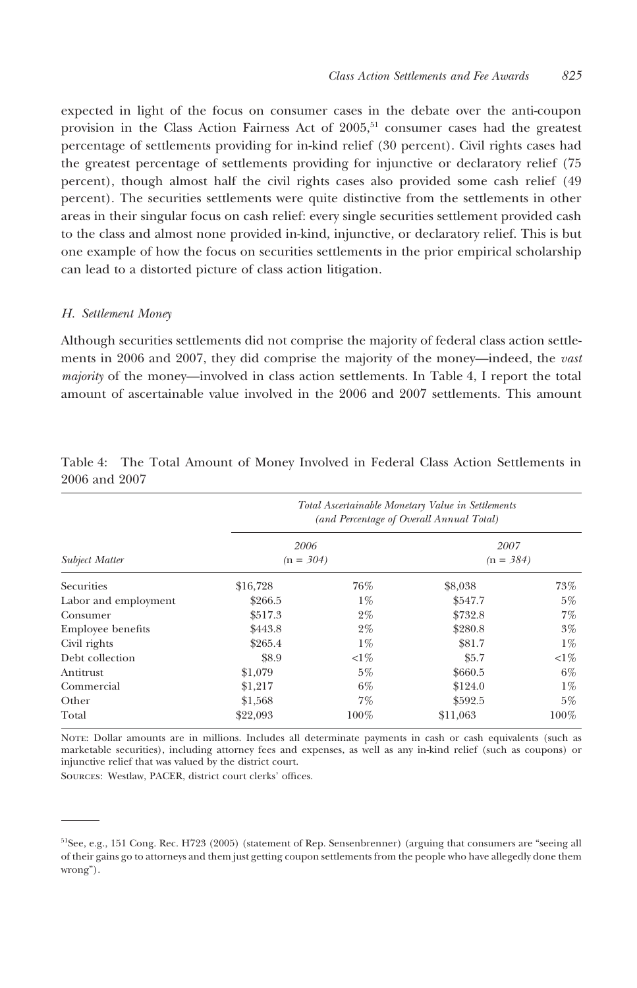expected in light of the focus on consumer cases in the debate over the anti-coupon provision in the Class Action Fairness Act of  $2005$ ,  $51$  consumer cases had the greatest percentage of settlements providing for in-kind relief (30 percent). Civil rights cases had the greatest percentage of settlements providing for injunctive or declaratory relief (75 percent), though almost half the civil rights cases also provided some cash relief (49 percent). The securities settlements were quite distinctive from the settlements in other areas in their singular focus on cash relief: every single securities settlement provided cash to the class and almost none provided in-kind, injunctive, or declaratory relief. This is but one example of how the focus on securities settlements in the prior empirical scholarship can lead to a distorted picture of class action litigation.

#### *H. Settlement Money*

Although securities settlements did not comprise the majority of federal class action settlements in 2006 and 2007, they did comprise the majority of the money—indeed, the *vast majority* of the money—involved in class action settlements. In Table 4, I report the total amount of ascertainable value involved in the 2006 and 2007 settlements. This amount

| <b>Subject Matter</b> | Total Ascertainable Monetary Value in Settlements<br>(and Percentage of Overall Annual Total) |         |                     |            |  |
|-----------------------|-----------------------------------------------------------------------------------------------|---------|---------------------|------------|--|
|                       | 2006<br>$(n = 304)$                                                                           |         | 2007<br>$(n = 384)$ |            |  |
| Securities            | \$16,728                                                                                      | 76%     | \$8,038             | 73%        |  |
| Labor and employment  | \$266.5                                                                                       | $1\%$   | \$547.7             | $5\%$      |  |
| Consumer              | \$517.3                                                                                       | $2\%$   | \$732.8             | $7\%$      |  |
| Employee benefits     | \$443.8                                                                                       | $2\%$   | \$280.8             | $3\%$      |  |
| Civil rights          | \$265.4                                                                                       | $1\%$   | \$81.7              | $1\%$      |  |
| Debt collection       | \$8.9                                                                                         | $< 1\%$ | \$5.7               | $<\!\!1\%$ |  |
| Antitrust             | \$1,079                                                                                       | 5%      | \$660.5             | $6\%$      |  |
| Commercial            | \$1,217                                                                                       | 6%      | \$124.0             | $1\%$      |  |
| Other                 | \$1,568                                                                                       | 7%      | \$592.5             | $5\%$      |  |
| Total                 | \$22,093                                                                                      | 100%    | \$11,063            | 100%       |  |

Table 4: The Total Amount of Money Involved in Federal Class Action Settlements in 2006 and 2007

Note: Dollar amounts are in millions. Includes all determinate payments in cash or cash equivalents (such as marketable securities), including attorney fees and expenses, as well as any in-kind relief (such as coupons) or injunctive relief that was valued by the district court.

Sources: Westlaw, PACER, district court clerks' offices.

 ${}^{51}$ See, e.g., 151 Cong. Rec. H723 (2005) (statement of Rep. Sensenbrenner) (arguing that consumers are "seeing all of their gains go to attorneys and them just getting coupon settlements from the people who have allegedly done them wrong").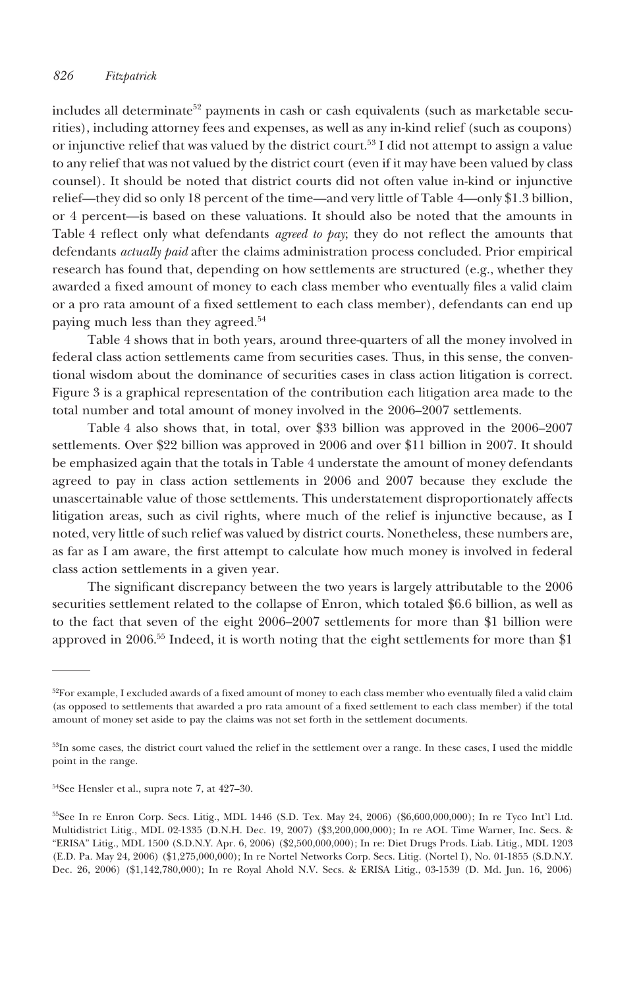includes all determinate<sup>52</sup> payments in cash or cash equivalents (such as marketable securities), including attorney fees and expenses, as well as any in-kind relief (such as coupons) or injunctive relief that was valued by the district court.<sup>53</sup> I did not attempt to assign a value to any relief that was not valued by the district court (even if it may have been valued by class counsel). It should be noted that district courts did not often value in-kind or injunctive relief—they did so only 18 percent of the time—and very little of Table 4—only \$1.3 billion, or 4 percent—is based on these valuations. It should also be noted that the amounts in Table 4 reflect only what defendants *agreed to pay*; they do not reflect the amounts that defendants *actually paid* after the claims administration process concluded. Prior empirical research has found that, depending on how settlements are structured (e.g., whether they awarded a fixed amount of money to each class member who eventually files a valid claim or a pro rata amount of a fixed settlement to each class member), defendants can end up paying much less than they agreed.<sup>54</sup>

Table 4 shows that in both years, around three-quarters of all the money involved in federal class action settlements came from securities cases. Thus, in this sense, the conventional wisdom about the dominance of securities cases in class action litigation is correct. Figure 3 is a graphical representation of the contribution each litigation area made to the total number and total amount of money involved in the 2006–2007 settlements.

Table 4 also shows that, in total, over \$33 billion was approved in the 2006–2007 settlements. Over \$22 billion was approved in 2006 and over \$11 billion in 2007. It should be emphasized again that the totals in Table 4 understate the amount of money defendants agreed to pay in class action settlements in 2006 and 2007 because they exclude the unascertainable value of those settlements. This understatement disproportionately affects litigation areas, such as civil rights, where much of the relief is injunctive because, as I noted, very little of such relief was valued by district courts. Nonetheless, these numbers are, as far as I am aware, the first attempt to calculate how much money is involved in federal class action settlements in a given year.

The significant discrepancy between the two years is largely attributable to the 2006 securities settlement related to the collapse of Enron, which totaled \$6.6 billion, as well as to the fact that seven of the eight 2006–2007 settlements for more than \$1 billion were approved in 2006.55 Indeed, it is worth noting that the eight settlements for more than \$1

 $52$ For example, I excluded awards of a fixed amount of money to each class member who eventually filed a valid claim (as opposed to settlements that awarded a pro rata amount of a fixed settlement to each class member) if the total amount of money set aside to pay the claims was not set forth in the settlement documents.

<sup>&</sup>lt;sup>53</sup>In some cases, the district court valued the relief in the settlement over a range. In these cases, I used the middle point in the range.

<sup>54</sup>See Hensler et al., supra note 7, at 427–30.

<sup>55</sup>See In re Enron Corp. Secs. Litig., MDL 1446 (S.D. Tex. May 24, 2006) (\$6,600,000,000); In re Tyco Int'l Ltd. Multidistrict Litig., MDL 02-1335 (D.N.H. Dec. 19, 2007) (\$3,200,000,000); In re AOL Time Warner, Inc. Secs. & "ERISA" Litig., MDL 1500 (S.D.N.Y. Apr. 6, 2006) (\$2,500,000,000); In re: Diet Drugs Prods. Liab. Litig., MDL 1203 (E.D. Pa. May 24, 2006) (\$1,275,000,000); In re Nortel Networks Corp. Secs. Litig. (Nortel I), No. 01-1855 (S.D.N.Y. Dec. 26, 2006) (\$1,142,780,000); In re Royal Ahold N.V. Secs. & ERISA Litig., 03-1539 (D. Md. Jun. 16, 2006)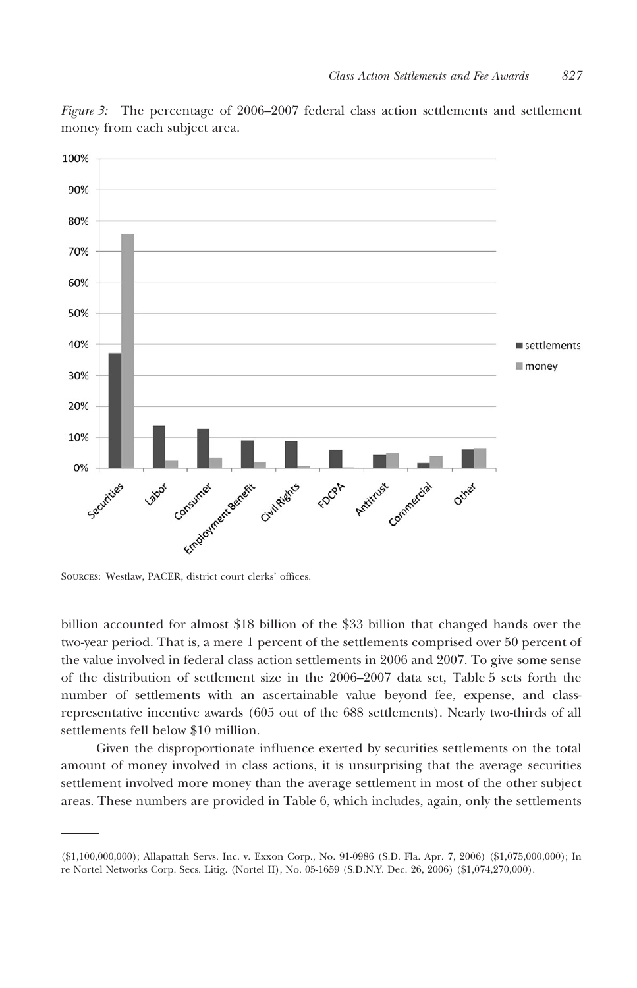*Figure 3:* The percentage of 2006–2007 federal class action settlements and settlement money from each subject area.



Sources: Westlaw, PACER, district court clerks' offices.

billion accounted for almost \$18 billion of the \$33 billion that changed hands over the two-year period. That is, a mere 1 percent of the settlements comprised over 50 percent of the value involved in federal class action settlements in 2006 and 2007. To give some sense of the distribution of settlement size in the 2006–2007 data set, Table 5 sets forth the number of settlements with an ascertainable value beyond fee, expense, and classrepresentative incentive awards (605 out of the 688 settlements). Nearly two-thirds of all settlements fell below \$10 million.

Given the disproportionate influence exerted by securities settlements on the total amount of money involved in class actions, it is unsurprising that the average securities settlement involved more money than the average settlement in most of the other subject areas. These numbers are provided in Table 6, which includes, again, only the settlements

<sup>(\$1,100,000,000);</sup> Allapattah Servs. Inc. v. Exxon Corp., No. 91-0986 (S.D. Fla. Apr. 7, 2006) (\$1,075,000,000); In re Nortel Networks Corp. Secs. Litig. (Nortel II), No. 05-1659 (S.D.N.Y. Dec. 26, 2006) (\$1,074,270,000).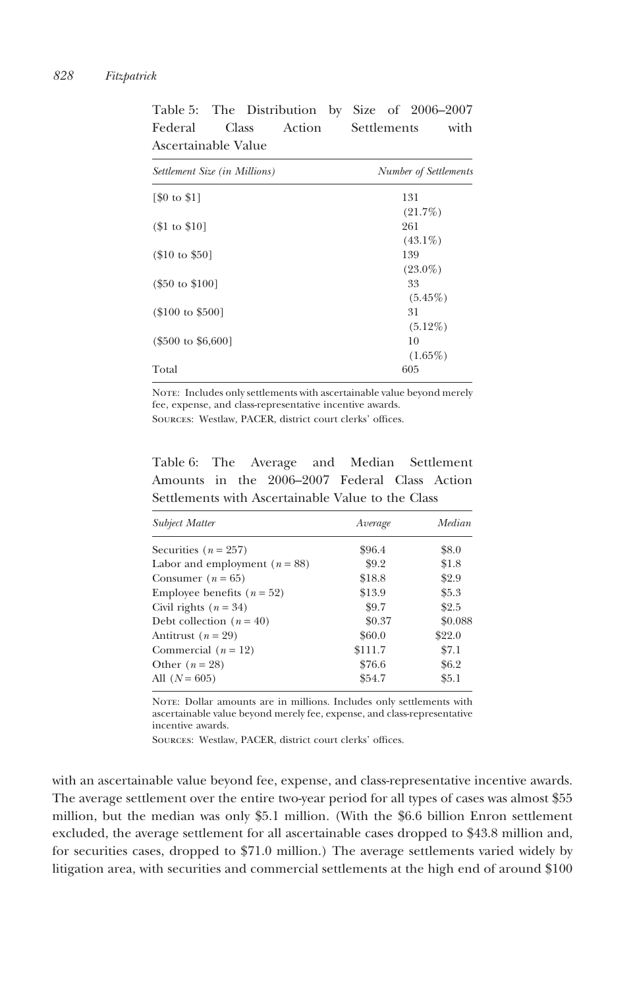| Settlement Size (in Millions) | Number of Settlements |
|-------------------------------|-----------------------|
| $\lceil\$0 \rceil$ to $\$1$   | 131                   |
|                               | $(21.7\%)$            |
| $\$1$ to \$10]                | 261                   |
|                               | $(43.1\%)$            |
| $(\$10 \text{ to } \$50]$     | 139                   |
|                               | $(23.0\%)$            |
| $(\$50 \text{ to } \$100]$    | 33                    |
|                               | $(5.45\%)$            |
| $(\$100 \text{ to } \$500]$   | 31                    |
|                               | $(5.12\%)$            |
| $(\$500 \text{ to } \$6,600]$ | 10                    |
|                               | $(1.65\%)$            |
| Total                         | 605                   |

Table 5: The Distribution by Size of 2006–2007 Federal Class Action Settlements with Ascertainable Value

NOTE: Includes only settlements with ascertainable value beyond merely fee, expense, and class-representative incentive awards.

Sources: Westlaw, PACER, district court clerks' offices.

Table 6: The Average and Median Settlement Amounts in the 2006–2007 Federal Class Action Settlements with Ascertainable Value to the Class

| Subject Matter                  | Average | Median  |
|---------------------------------|---------|---------|
| Securities ( $n = 257$ )        | \$96.4  | \$8.0   |
| Labor and employment $(n = 88)$ | \$9.2   | \$1.8   |
| Consumer $(n = 65)$             | \$18.8  | \$2.9   |
| Employee benefits $(n = 52)$    | \$13.9  | \$5.3   |
| Civil rights $(n = 34)$         | \$9.7   | \$2.5   |
| Debt collection $(n = 40)$      | \$0.37  | \$0.088 |
| Antitrust ( $n = 29$ )          | \$60.0  | \$22.0  |
| Commercial $(n = 12)$           | \$111.7 | \$7.1   |
| Other $(n=28)$                  | \$76.6  | \$6.2   |
| All $(N = 605)$                 | \$54.7  | \$5.1   |

NOTE: Dollar amounts are in millions. Includes only settlements with ascertainable value beyond merely fee, expense, and class-representative incentive awards.

Sources: Westlaw, PACER, district court clerks' offices.

with an ascertainable value beyond fee, expense, and class-representative incentive awards. The average settlement over the entire two-year period for all types of cases was almost \$55 million, but the median was only \$5.1 million. (With the \$6.6 billion Enron settlement excluded, the average settlement for all ascertainable cases dropped to \$43.8 million and, for securities cases, dropped to \$71.0 million.) The average settlements varied widely by litigation area, with securities and commercial settlements at the high end of around \$100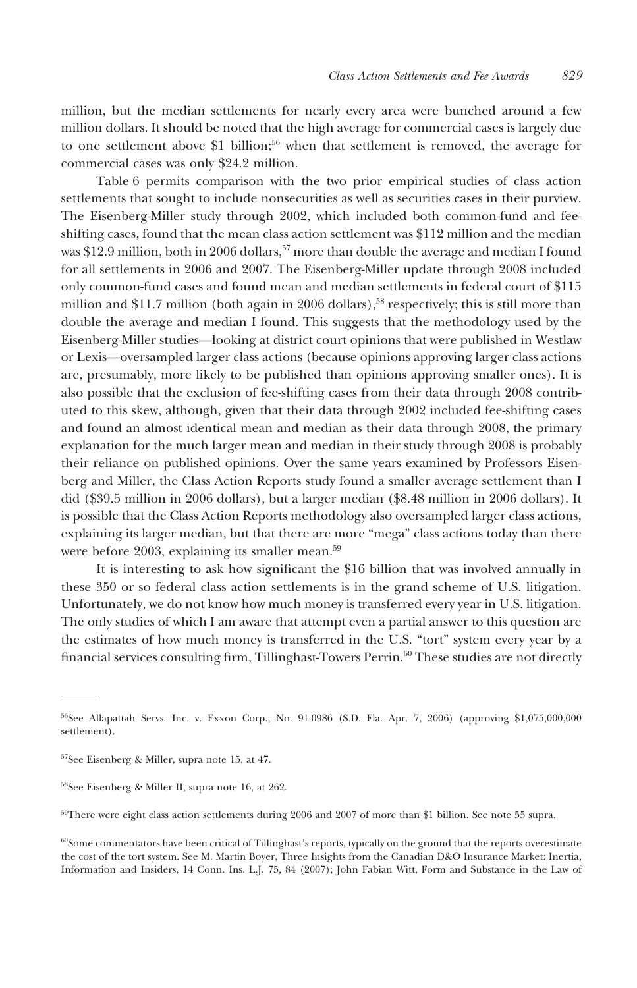million, but the median settlements for nearly every area were bunched around a few million dollars. It should be noted that the high average for commercial cases is largely due to one settlement above \$1 billion;<sup>56</sup> when that settlement is removed, the average for commercial cases was only \$24.2 million.

Table 6 permits comparison with the two prior empirical studies of class action settlements that sought to include nonsecurities as well as securities cases in their purview. The Eisenberg-Miller study through 2002, which included both common-fund and feeshifting cases, found that the mean class action settlement was \$112 million and the median was \$12.9 million, both in 2006 dollars,<sup>57</sup> more than double the average and median I found for all settlements in 2006 and 2007. The Eisenberg-Miller update through 2008 included only common-fund cases and found mean and median settlements in federal court of \$115 million and \$11.7 million (both again in 2006 dollars),<sup>58</sup> respectively; this is still more than double the average and median I found. This suggests that the methodology used by the Eisenberg-Miller studies—looking at district court opinions that were published in Westlaw or Lexis—oversampled larger class actions (because opinions approving larger class actions are, presumably, more likely to be published than opinions approving smaller ones). It is also possible that the exclusion of fee-shifting cases from their data through 2008 contributed to this skew, although, given that their data through 2002 included fee-shifting cases and found an almost identical mean and median as their data through 2008, the primary explanation for the much larger mean and median in their study through 2008 is probably their reliance on published opinions. Over the same years examined by Professors Eisenberg and Miller, the Class Action Reports study found a smaller average settlement than I did (\$39.5 million in 2006 dollars), but a larger median (\$8.48 million in 2006 dollars). It is possible that the Class Action Reports methodology also oversampled larger class actions, explaining its larger median, but that there are more "mega" class actions today than there were before 2003, explaining its smaller mean.<sup>59</sup>

It is interesting to ask how significant the \$16 billion that was involved annually in these 350 or so federal class action settlements is in the grand scheme of U.S. litigation. Unfortunately, we do not know how much money is transferred every year in U.S. litigation. The only studies of which I am aware that attempt even a partial answer to this question are the estimates of how much money is transferred in the U.S. "tort" system every year by a financial services consulting firm, Tillinghast-Towers Perrin.<sup>60</sup> These studies are not directly

59There were eight class action settlements during 2006 and 2007 of more than \$1 billion. See note 55 supra.

<sup>56</sup>See Allapattah Servs. Inc. v. Exxon Corp., No. 91-0986 (S.D. Fla. Apr. 7, 2006) (approving \$1,075,000,000 settlement).

<sup>57</sup>See Eisenberg & Miller, supra note 15, at 47.

<sup>58</sup>See Eisenberg & Miller II, supra note 16, at 262.

 $60$ Some commentators have been critical of Tillinghast's reports, typically on the ground that the reports overestimate the cost of the tort system. See M. Martin Boyer, Three Insights from the Canadian D&O Insurance Market: Inertia, Information and Insiders, 14 Conn. Ins. L.J. 75, 84 (2007); John Fabian Witt, Form and Substance in the Law of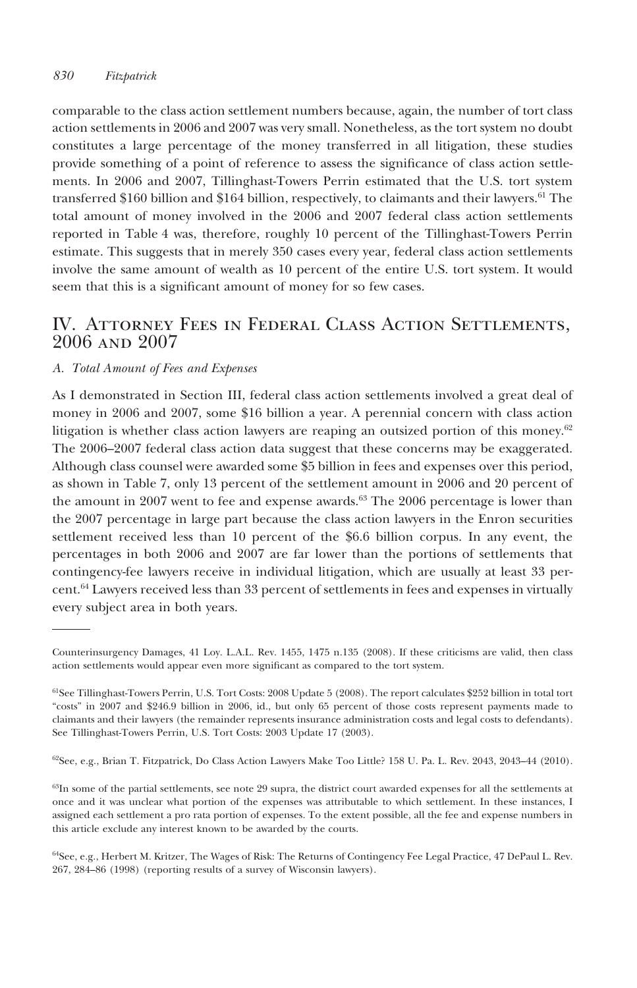comparable to the class action settlement numbers because, again, the number of tort class action settlements in 2006 and 2007 was very small. Nonetheless, as the tort system no doubt constitutes a large percentage of the money transferred in all litigation, these studies provide something of a point of reference to assess the significance of class action settlements. In 2006 and 2007, Tillinghast-Towers Perrin estimated that the U.S. tort system transferred \$160 billion and \$164 billion, respectively, to claimants and their lawyers.<sup>61</sup> The total amount of money involved in the 2006 and 2007 federal class action settlements reported in Table 4 was, therefore, roughly 10 percent of the Tillinghast-Towers Perrin estimate. This suggests that in merely 350 cases every year, federal class action settlements involve the same amount of wealth as 10 percent of the entire U.S. tort system. It would seem that this is a significant amount of money for so few cases.

# IV. Attorney <sup>F</sup>ees in <sup>F</sup>ederal <sup>C</sup>lass <sup>A</sup>ction <sup>S</sup>ettlements, <sup>2006</sup> and <sup>2007</sup>

#### *A. Total Amount of Fees and Expenses*

As I demonstrated in Section III, federal class action settlements involved a great deal of money in 2006 and 2007, some \$16 billion a year. A perennial concern with class action litigation is whether class action lawyers are reaping an outsized portion of this money.<sup>62</sup> The 2006–2007 federal class action data suggest that these concerns may be exaggerated. Although class counsel were awarded some \$5 billion in fees and expenses over this period, as shown in Table 7, only 13 percent of the settlement amount in 2006 and 20 percent of the amount in 2007 went to fee and expense awards. $63$  The 2006 percentage is lower than the 2007 percentage in large part because the class action lawyers in the Enron securities settlement received less than 10 percent of the \$6.6 billion corpus. In any event, the percentages in both 2006 and 2007 are far lower than the portions of settlements that contingency-fee lawyers receive in individual litigation, which are usually at least 33 percent.64 Lawyers received less than 33 percent of settlements in fees and expenses in virtually every subject area in both years.

<sup>62</sup>See, e.g., Brian T. Fitzpatrick, Do Class Action Lawyers Make Too Little? 158 U. Pa. L. Rev. 2043, 2043–44 (2010).

Counterinsurgency Damages, 41 Loy. L.A.L. Rev. 1455, 1475 n.135 (2008). If these criticisms are valid, then class action settlements would appear even more significant as compared to the tort system.

<sup>&</sup>lt;sup>61</sup>See Tillinghast-Towers Perrin, U.S. Tort Costs: 2008 Update 5 (2008). The report calculates \$252 billion in total tort "costs" in 2007 and \$246.9 billion in 2006, id., but only 65 percent of those costs represent payments made to claimants and their lawyers (the remainder represents insurance administration costs and legal costs to defendants). See Tillinghast-Towers Perrin, U.S. Tort Costs: 2003 Update 17 (2003).

<sup>&</sup>lt;sup>63</sup>In some of the partial settlements, see note 29 supra, the district court awarded expenses for all the settlements at once and it was unclear what portion of the expenses was attributable to which settlement. In these instances, I assigned each settlement a pro rata portion of expenses. To the extent possible, all the fee and expense numbers in this article exclude any interest known to be awarded by the courts.

<sup>&</sup>lt;sup>64</sup>See, e.g., Herbert M. Kritzer, The Wages of Risk: The Returns of Contingency Fee Legal Practice, 47 DePaul L. Rev. 267, 284–86 (1998) (reporting results of a survey of Wisconsin lawyers).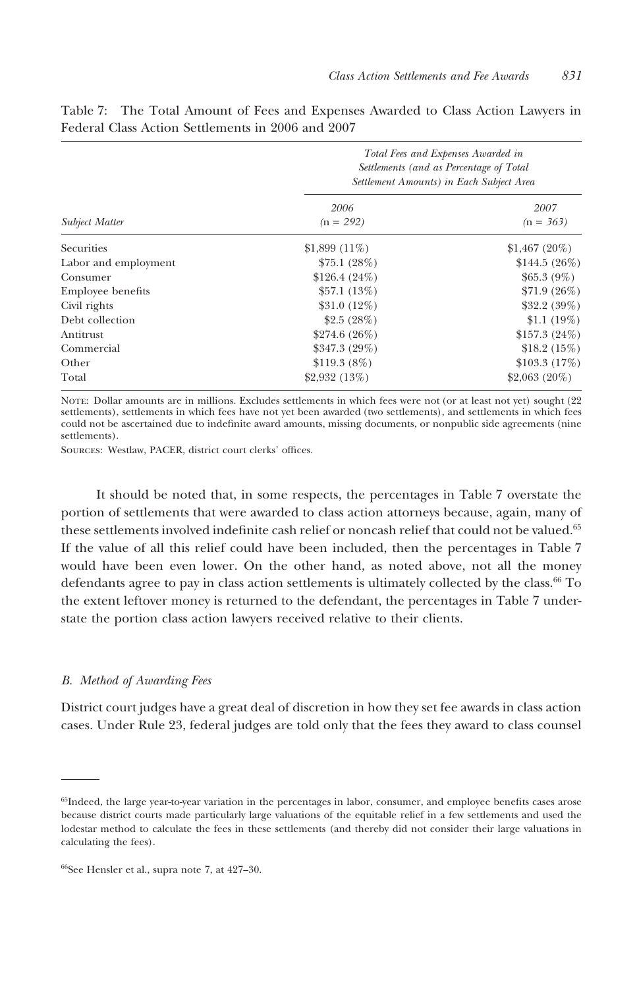| <b>Subject Matter</b> | Total Fees and Expenses Awarded in<br>Settlements (and as Percentage of Total<br>Settlement Amounts) in Each Subject Area |                     |  |
|-----------------------|---------------------------------------------------------------------------------------------------------------------------|---------------------|--|
|                       | 2006<br>$(n = 292)$                                                                                                       | 2007<br>$(n = 363)$ |  |
| Securities            | $$1,899(11\%)$                                                                                                            | $$1,467(20\%)$      |  |
| Labor and employment  | \$75.1 (28%)                                                                                                              | \$144.5(26%)        |  |
| Consumer              | \$126.4(24%)                                                                                                              | \$65.3(9%)          |  |
| Employee benefits     | \$57.1(13%)                                                                                                               | \$71.9(26%)         |  |
| Civil rights          | $$31.0(12\%)$                                                                                                             | \$32.2(39%)         |  |
| Debt collection       | \$2.5(28%)                                                                                                                | \$1.1(19%)          |  |
| Antitrust             | $$274.6(26\%)$                                                                                                            | \$157.3(24%)        |  |
| Commercial            | \$347.3(29%)                                                                                                              | \$18.2(15%)         |  |
| Other                 | \$119.3(8%)                                                                                                               | \$103.3(17%)        |  |
| Total                 | $$2,932(13\%)$                                                                                                            | $$2,063(20\%)$      |  |

Table 7: The Total Amount of Fees and Expenses Awarded to Class Action Lawyers in Federal Class Action Settlements in 2006 and 2007

NOTE: Dollar amounts are in millions. Excludes settlements in which fees were not (or at least not yet) sought (22 settlements), settlements in which fees have not yet been awarded (two settlements), and settlements in which fees could not be ascertained due to indefinite award amounts, missing documents, or nonpublic side agreements (nine settlements).

Sources: Westlaw, PACER, district court clerks' offices.

It should be noted that, in some respects, the percentages in Table 7 overstate the portion of settlements that were awarded to class action attorneys because, again, many of these settlements involved indefinite cash relief or noncash relief that could not be valued.<sup>65</sup> If the value of all this relief could have been included, then the percentages in Table 7 would have been even lower. On the other hand, as noted above, not all the money defendants agree to pay in class action settlements is ultimately collected by the class.<sup>66</sup> To the extent leftover money is returned to the defendant, the percentages in Table 7 understate the portion class action lawyers received relative to their clients.

#### *B. Method of Awarding Fees*

District court judges have a great deal of discretion in how they set fee awards in class action cases. Under Rule 23, federal judges are told only that the fees they award to class counsel

<sup>65</sup>Indeed, the large year-to-year variation in the percentages in labor, consumer, and employee benefits cases arose because district courts made particularly large valuations of the equitable relief in a few settlements and used the lodestar method to calculate the fees in these settlements (and thereby did not consider their large valuations in calculating the fees).

 $66$ See Hensler et al., supra note 7, at  $427-30$ .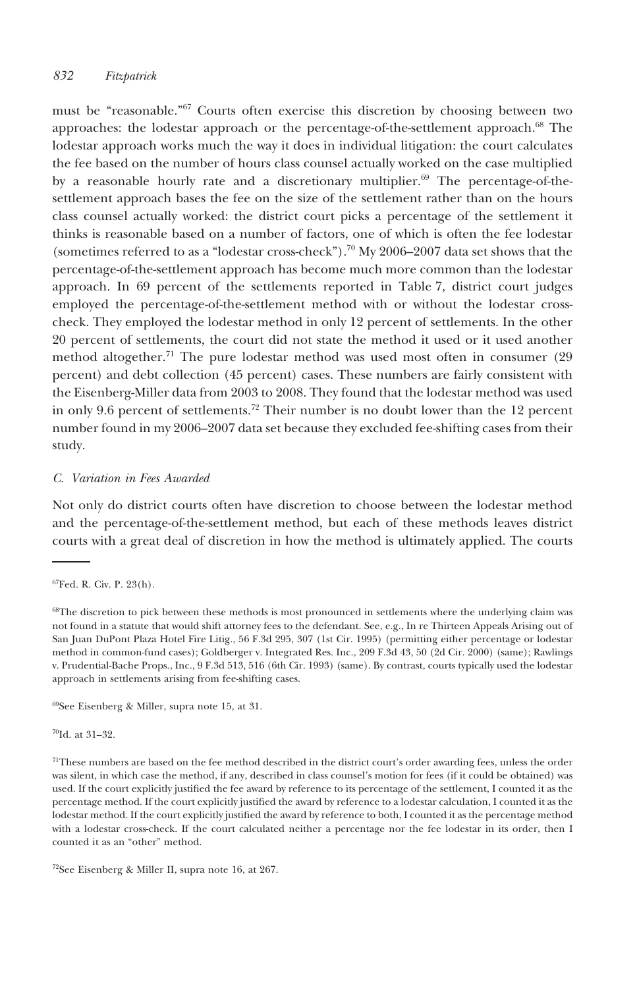must be "reasonable."67 Courts often exercise this discretion by choosing between two approaches: the lodestar approach or the percentage-of-the-settlement approach.68 The lodestar approach works much the way it does in individual litigation: the court calculates the fee based on the number of hours class counsel actually worked on the case multiplied by a reasonable hourly rate and a discretionary multiplier.<sup>69</sup> The percentage-of-thesettlement approach bases the fee on the size of the settlement rather than on the hours class counsel actually worked: the district court picks a percentage of the settlement it thinks is reasonable based on a number of factors, one of which is often the fee lodestar (sometimes referred to as a "lodestar cross-check").<sup>70</sup> My 2006–2007 data set shows that the percentage-of-the-settlement approach has become much more common than the lodestar approach. In 69 percent of the settlements reported in Table 7, district court judges employed the percentage-of-the-settlement method with or without the lodestar crosscheck. They employed the lodestar method in only 12 percent of settlements. In the other 20 percent of settlements, the court did not state the method it used or it used another method altogether.<sup>71</sup> The pure lodestar method was used most often in consumer  $(29$ percent) and debt collection (45 percent) cases. These numbers are fairly consistent with the Eisenberg-Miller data from 2003 to 2008. They found that the lodestar method was used in only 9.6 percent of settlements.72 Their number is no doubt lower than the 12 percent number found in my 2006–2007 data set because they excluded fee-shifting cases from their study.

#### *C. Variation in Fees Awarded*

Not only do district courts often have discretion to choose between the lodestar method and the percentage-of-the-settlement method, but each of these methods leaves district courts with a great deal of discretion in how the method is ultimately applied. The courts

69See Eisenberg & Miller, supra note 15, at 31.

70Id. at 31–32.

<sup>71</sup>These numbers are based on the fee method described in the district court's order awarding fees, unless the order was silent, in which case the method, if any, described in class counsel's motion for fees (if it could be obtained) was used. If the court explicitly justified the fee award by reference to its percentage of the settlement, I counted it as the percentage method. If the court explicitly justified the award by reference to a lodestar calculation, I counted it as the lodestar method. If the court explicitly justified the award by reference to both, I counted it as the percentage method with a lodestar cross-check. If the court calculated neither a percentage nor the fee lodestar in its order, then I counted it as an "other" method.

72See Eisenberg & Miller II, supra note 16, at 267.

<sup>67</sup>Fed. R. Civ. P. 23(h).

<sup>&</sup>lt;sup>68</sup>The discretion to pick between these methods is most pronounced in settlements where the underlying claim was not found in a statute that would shift attorney fees to the defendant. See, e.g., In re Thirteen Appeals Arising out of San Juan DuPont Plaza Hotel Fire Litig., 56 F.3d 295, 307 (1st Cir. 1995) (permitting either percentage or lodestar method in common-fund cases); Goldberger v. Integrated Res. Inc., 209 F.3d 43, 50 (2d Cir. 2000) (same); Rawlings v. Prudential-Bache Props., Inc., 9 F.3d 513, 516 (6th Cir. 1993) (same). By contrast, courts typically used the lodestar approach in settlements arising from fee-shifting cases.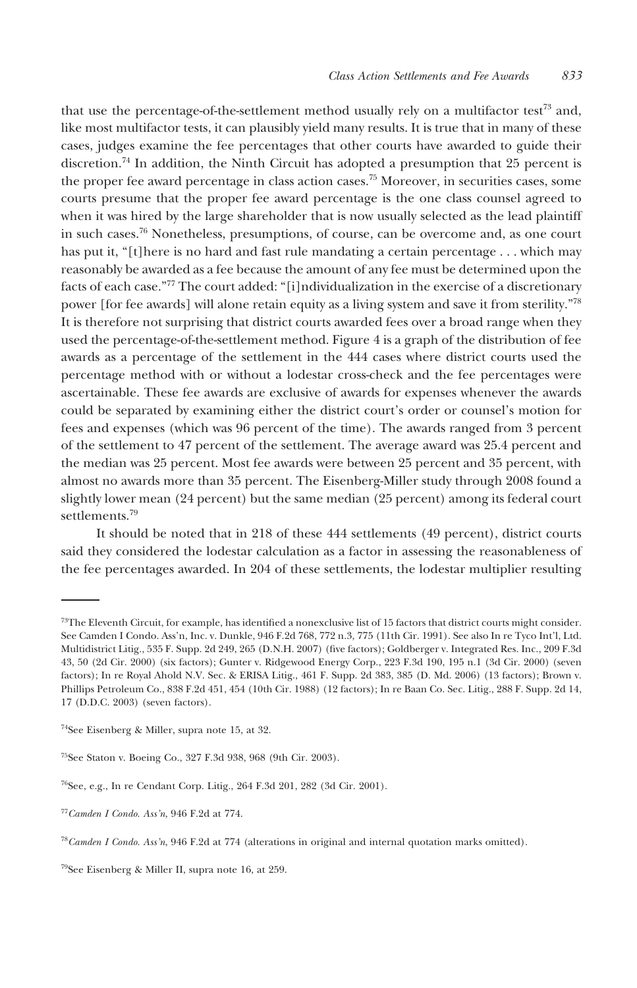that use the percentage-of-the-settlement method usually rely on a multifactor test<sup>73</sup> and, like most multifactor tests, it can plausibly yield many results. It is true that in many of these cases, judges examine the fee percentages that other courts have awarded to guide their discretion.74 In addition, the Ninth Circuit has adopted a presumption that 25 percent is the proper fee award percentage in class action cases.75 Moreover, in securities cases, some courts presume that the proper fee award percentage is the one class counsel agreed to when it was hired by the large shareholder that is now usually selected as the lead plaintiff in such cases.76 Nonetheless, presumptions, of course, can be overcome and, as one court has put it, "[t]here is no hard and fast rule mandating a certain percentage . . . which may reasonably be awarded as a fee because the amount of any fee must be determined upon the facts of each case."77 The court added: "[i]ndividualization in the exercise of a discretionary power [for fee awards] will alone retain equity as a living system and save it from sterility."78 It is therefore not surprising that district courts awarded fees over a broad range when they used the percentage-of-the-settlement method. Figure 4 is a graph of the distribution of fee awards as a percentage of the settlement in the 444 cases where district courts used the percentage method with or without a lodestar cross-check and the fee percentages were ascertainable. These fee awards are exclusive of awards for expenses whenever the awards could be separated by examining either the district court's order or counsel's motion for fees and expenses (which was 96 percent of the time). The awards ranged from 3 percent of the settlement to 47 percent of the settlement. The average award was 25.4 percent and the median was 25 percent. Most fee awards were between 25 percent and 35 percent, with almost no awards more than 35 percent. The Eisenberg-Miller study through 2008 found a slightly lower mean (24 percent) but the same median (25 percent) among its federal court settlements.79

It should be noted that in 218 of these 444 settlements (49 percent), district courts said they considered the lodestar calculation as a factor in assessing the reasonableness of the fee percentages awarded. In 204 of these settlements, the lodestar multiplier resulting

<sup>&</sup>lt;sup>73</sup>The Eleventh Circuit, for example, has identified a nonexclusive list of 15 factors that district courts might consider. See Camden I Condo. Ass'n, Inc. v. Dunkle, 946 F.2d 768, 772 n.3, 775 (11th Cir. 1991). See also In re Tyco Int'l, Ltd. Multidistrict Litig., 535 F. Supp. 2d 249, 265 (D.N.H. 2007) (five factors); Goldberger v. Integrated Res. Inc., 209 F.3d 43, 50 (2d Cir. 2000) (six factors); Gunter v. Ridgewood Energy Corp., 223 F.3d 190, 195 n.1 (3d Cir. 2000) (seven factors); In re Royal Ahold N.V. Sec. & ERISA Litig., 461 F. Supp. 2d 383, 385 (D. Md. 2006) (13 factors); Brown v. Phillips Petroleum Co., 838 F.2d 451, 454 (10th Cir. 1988) (12 factors); In re Baan Co. Sec. Litig., 288 F. Supp. 2d 14, 17 (D.D.C. 2003) (seven factors).

<sup>74</sup>See Eisenberg & Miller, supra note 15, at 32.

<sup>75</sup>See Staton v. Boeing Co., 327 F.3d 938, 968 (9th Cir. 2003).

<sup>76</sup>See, e.g., In re Cendant Corp. Litig., 264 F.3d 201, 282 (3d Cir. 2001).

<sup>77</sup>*Camden I Condo. Ass'n*, 946 F.2d at 774.

<sup>78</sup>*Camden I Condo. Ass'n*, 946 F.2d at 774 (alterations in original and internal quotation marks omitted).

<sup>79</sup>See Eisenberg & Miller II, supra note 16, at 259.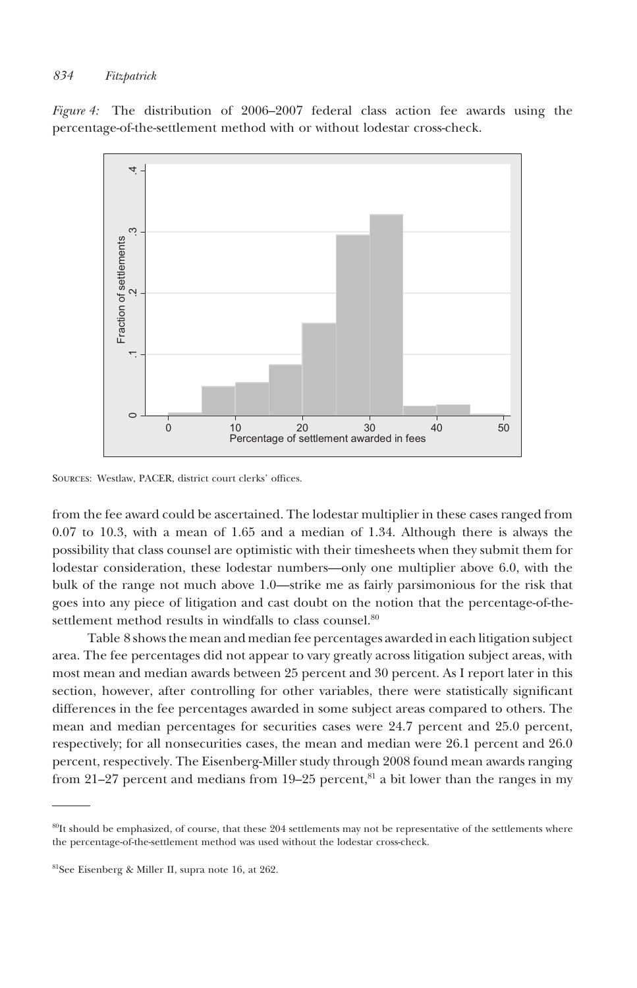*Figure 4:* The distribution of 2006–2007 federal class action fee awards using the percentage-of-the-settlement method with or without lodestar cross-check.



Sources: Westlaw, PACER, district court clerks' offices.

from the fee award could be ascertained. The lodestar multiplier in these cases ranged from 0.07 to 10.3, with a mean of 1.65 and a median of 1.34. Although there is always the possibility that class counsel are optimistic with their timesheets when they submit them for lodestar consideration, these lodestar numbers—only one multiplier above 6.0, with the bulk of the range not much above 1.0—strike me as fairly parsimonious for the risk that goes into any piece of litigation and cast doubt on the notion that the percentage-of-thesettlement method results in windfalls to class counsel.<sup>80</sup>

Table 8 shows the mean and median fee percentages awarded in each litigation subject area. The fee percentages did not appear to vary greatly across litigation subject areas, with most mean and median awards between 25 percent and 30 percent. As I report later in this section, however, after controlling for other variables, there were statistically significant differences in the fee percentages awarded in some subject areas compared to others. The mean and median percentages for securities cases were 24.7 percent and 25.0 percent, respectively; for all nonsecurities cases, the mean and median were 26.1 percent and 26.0 percent, respectively. The Eisenberg-Miller study through 2008 found mean awards ranging from 21–27 percent and medians from 19–25 percent, ${}^{81}$  a bit lower than the ranges in my

<sup>&</sup>lt;sup>80</sup>It should be emphasized, of course, that these 204 settlements may not be representative of the settlements where the percentage-of-the-settlement method was used without the lodestar cross-check.

<sup>81</sup>See Eisenberg & Miller II, supra note 16, at 262.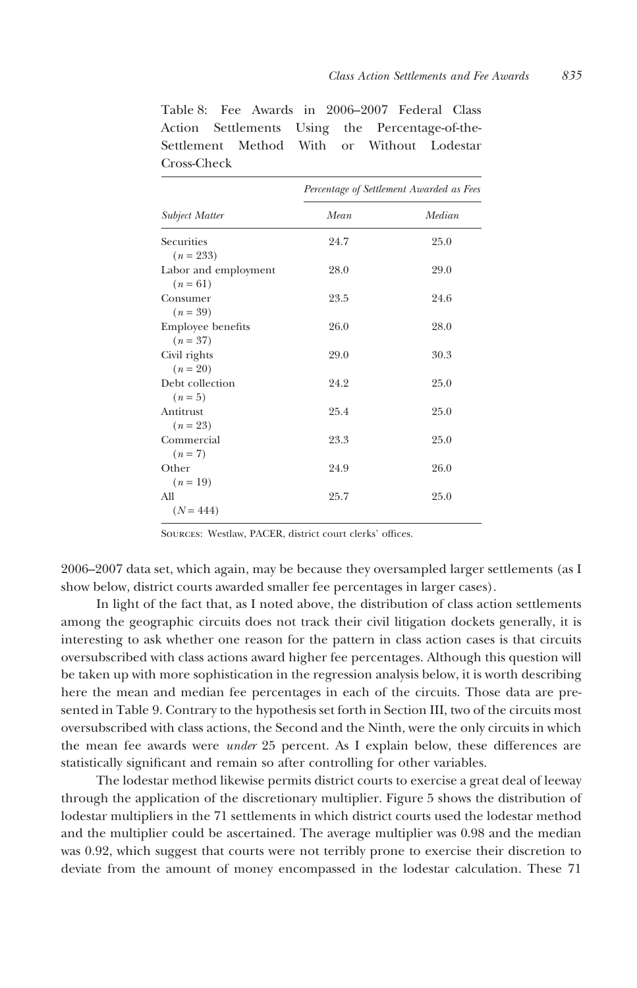|                                    | Percentage of Settlement Awarded as Fees |        |  |  |
|------------------------------------|------------------------------------------|--------|--|--|
| <b>Subject Matter</b>              | Mean                                     | Median |  |  |
| Securities<br>$(n = 233)$          | 24.7                                     | 25.0   |  |  |
| Labor and employment<br>$(n = 61)$ | 28.0                                     | 29.0   |  |  |
| Consumer<br>$(n = 39)$             | 23.5                                     | 24.6   |  |  |
| Employee benefits<br>$(n = 37)$    | 26.0                                     | 28.0   |  |  |
| Civil rights<br>$(n = 20)$         | 29.0                                     | 30.3   |  |  |
| Debt collection<br>$(n=5)$         | 24.2                                     | 25.0   |  |  |
| Antitrust<br>$(n = 23)$            | 25.4                                     | 25.0   |  |  |
| Commercial<br>$(n=7)$              | 23.3                                     | 25.0   |  |  |
| Other<br>$(n=19)$                  | 24.9                                     | 26.0   |  |  |
| A11<br>$(N = 444)$                 | 25.7                                     | 25.0   |  |  |

Table 8: Fee Awards in 2006–2007 Federal Class Action Settlements Using the Percentage-of-the-Settlement Method With or Without Lodestar Cross-Check

Sources: Westlaw, PACER, district court clerks' offices.

2006–2007 data set, which again, may be because they oversampled larger settlements (as I show below, district courts awarded smaller fee percentages in larger cases).

In light of the fact that, as I noted above, the distribution of class action settlements among the geographic circuits does not track their civil litigation dockets generally, it is interesting to ask whether one reason for the pattern in class action cases is that circuits oversubscribed with class actions award higher fee percentages. Although this question will be taken up with more sophistication in the regression analysis below, it is worth describing here the mean and median fee percentages in each of the circuits. Those data are presented in Table 9. Contrary to the hypothesis set forth in Section III, two of the circuits most oversubscribed with class actions, the Second and the Ninth, were the only circuits in which the mean fee awards were *under* 25 percent. As I explain below, these differences are statistically significant and remain so after controlling for other variables.

The lodestar method likewise permits district courts to exercise a great deal of leeway through the application of the discretionary multiplier. Figure 5 shows the distribution of lodestar multipliers in the 71 settlements in which district courts used the lodestar method and the multiplier could be ascertained. The average multiplier was 0.98 and the median was 0.92, which suggest that courts were not terribly prone to exercise their discretion to deviate from the amount of money encompassed in the lodestar calculation. These 71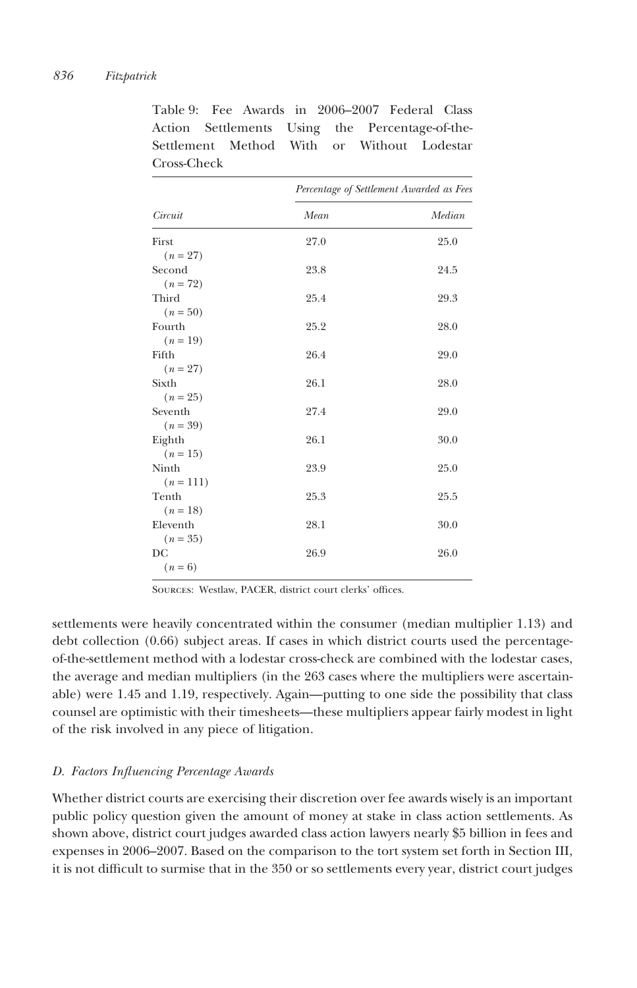|             |      | Percentage of Settlement Awarded as Fees |  |  |
|-------------|------|------------------------------------------|--|--|
| Circuit     | Mean | Median                                   |  |  |
| First       | 27.0 | 25.0                                     |  |  |
| $(n = 27)$  |      |                                          |  |  |
| Second      | 23.8 | 24.5                                     |  |  |
| $(n = 72)$  |      |                                          |  |  |
| Third       | 25.4 | 29.3                                     |  |  |
| $(n = 50)$  |      |                                          |  |  |
| Fourth      | 25.2 | 28.0                                     |  |  |
| $(n=19)$    |      |                                          |  |  |
| Fifth       | 26.4 | 29.0                                     |  |  |
| $(n = 27)$  |      |                                          |  |  |
| Sixth       | 26.1 | 28.0                                     |  |  |
| $(n = 25)$  |      |                                          |  |  |
| Seventh     | 27.4 | 29.0                                     |  |  |
| $(n = 39)$  |      |                                          |  |  |
| Eighth      | 26.1 | 30.0                                     |  |  |
| $(n=15)$    |      |                                          |  |  |
| Ninth       | 23.9 | 25.0                                     |  |  |
| $(n = 111)$ |      |                                          |  |  |
| Tenth       | 25.3 | 25.5                                     |  |  |
| $(n=18)$    |      |                                          |  |  |
| Eleventh    | 28.1 | 30.0                                     |  |  |
| $(n = 35)$  |      |                                          |  |  |
| DC          | 26.9 | 26.0                                     |  |  |
| $(n=6)$     |      |                                          |  |  |

Table 9: Fee Awards in 2006–2007 Federal Class Action Settlements Using the Percentage-of-the-Settlement Method With or Without Lodestar Cross-Check

Sources: Westlaw, PACER, district court clerks' offices.

settlements were heavily concentrated within the consumer (median multiplier 1.13) and debt collection (0.66) subject areas. If cases in which district courts used the percentageof-the-settlement method with a lodestar cross-check are combined with the lodestar cases, the average and median multipliers (in the 263 cases where the multipliers were ascertainable) were 1.45 and 1.19, respectively. Again—putting to one side the possibility that class counsel are optimistic with their timesheets—these multipliers appear fairly modest in light of the risk involved in any piece of litigation.

#### *D. Factors Influencing Percentage Awards*

Whether district courts are exercising their discretion over fee awards wisely is an important public policy question given the amount of money at stake in class action settlements. As shown above, district court judges awarded class action lawyers nearly \$5 billion in fees and expenses in 2006–2007. Based on the comparison to the tort system set forth in Section III, it is not difficult to surmise that in the 350 or so settlements every year, district court judges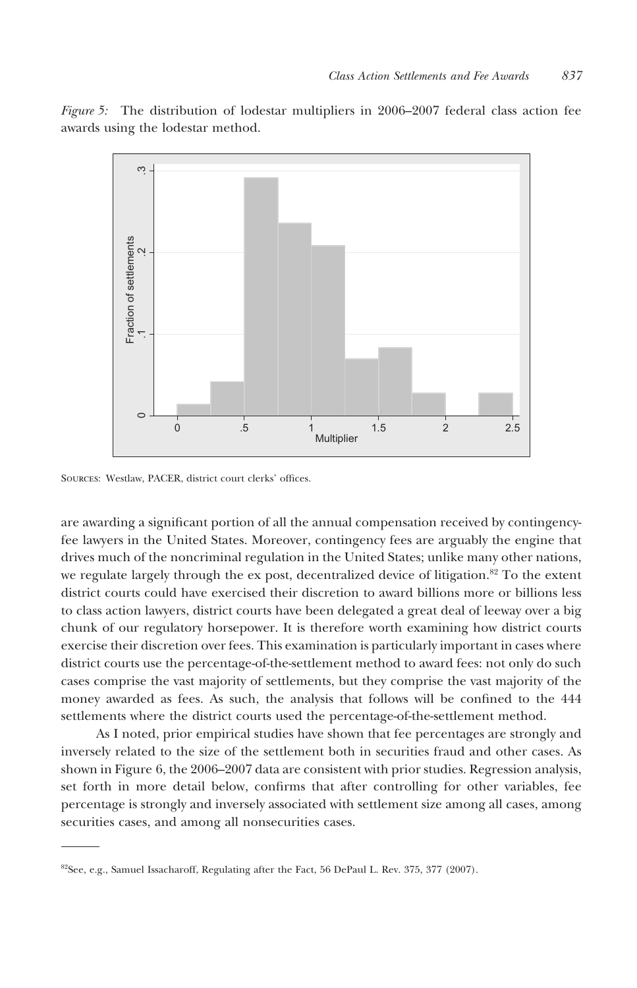*Figure 5:* The distribution of lodestar multipliers in 2006–2007 federal class action fee awards using the lodestar method.



Sources: Westlaw, PACER, district court clerks' offices.

are awarding a significant portion of all the annual compensation received by contingencyfee lawyers in the United States. Moreover, contingency fees are arguably the engine that drives much of the noncriminal regulation in the United States; unlike many other nations, we regulate largely through the ex post, decentralized device of litigation.<sup>82</sup> To the extent district courts could have exercised their discretion to award billions more or billions less to class action lawyers, district courts have been delegated a great deal of leeway over a big chunk of our regulatory horsepower. It is therefore worth examining how district courts exercise their discretion over fees. This examination is particularly important in cases where district courts use the percentage-of-the-settlement method to award fees: not only do such cases comprise the vast majority of settlements, but they comprise the vast majority of the money awarded as fees. As such, the analysis that follows will be confined to the 444 settlements where the district courts used the percentage-of-the-settlement method.

As I noted, prior empirical studies have shown that fee percentages are strongly and inversely related to the size of the settlement both in securities fraud and other cases. As shown in Figure 6, the 2006–2007 data are consistent with prior studies. Regression analysis, set forth in more detail below, confirms that after controlling for other variables, fee percentage is strongly and inversely associated with settlement size among all cases, among securities cases, and among all nonsecurities cases.

 $82$ See, e.g., Samuel Issacharoff, Regulating after the Fact, 56 DePaul L. Rev. 375, 377 (2007).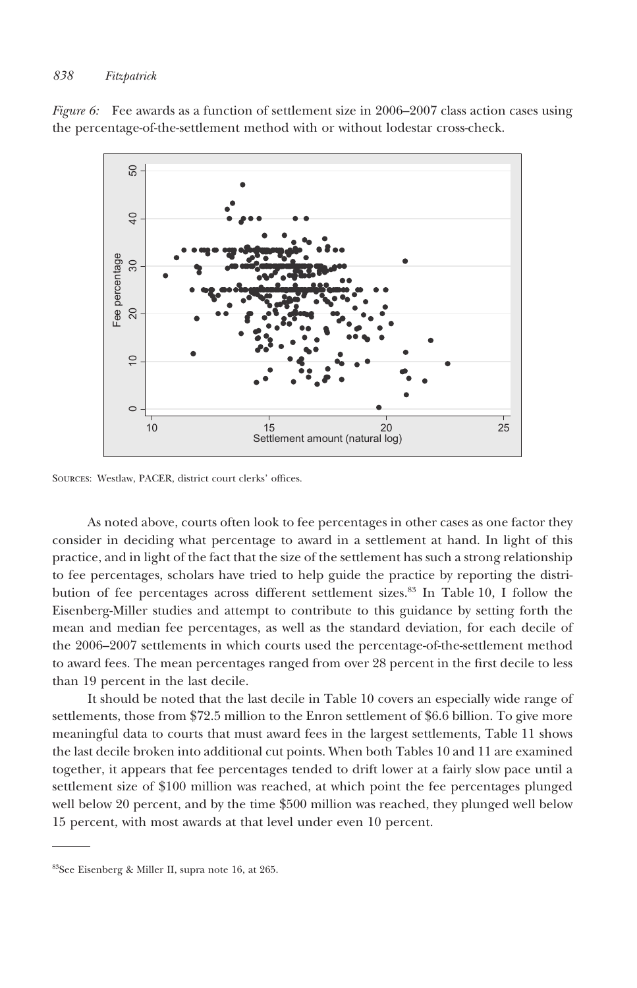*Figure 6:* Fee awards as a function of settlement size in 2006–2007 class action cases using the percentage-of-the-settlement method with or without lodestar cross-check.



Sources: Westlaw, PACER, district court clerks' offices.

As noted above, courts often look to fee percentages in other cases as one factor they consider in deciding what percentage to award in a settlement at hand. In light of this practice, and in light of the fact that the size of the settlement has such a strong relationship to fee percentages, scholars have tried to help guide the practice by reporting the distribution of fee percentages across different settlement sizes.<sup>83</sup> In Table 10, I follow the Eisenberg-Miller studies and attempt to contribute to this guidance by setting forth the mean and median fee percentages, as well as the standard deviation, for each decile of the 2006–2007 settlements in which courts used the percentage-of-the-settlement method to award fees. The mean percentages ranged from over 28 percent in the first decile to less than 19 percent in the last decile.

It should be noted that the last decile in Table 10 covers an especially wide range of settlements, those from \$72.5 million to the Enron settlement of \$6.6 billion. To give more meaningful data to courts that must award fees in the largest settlements, Table 11 shows the last decile broken into additional cut points. When both Tables 10 and 11 are examined together, it appears that fee percentages tended to drift lower at a fairly slow pace until a settlement size of \$100 million was reached, at which point the fee percentages plunged well below 20 percent, and by the time \$500 million was reached, they plunged well below 15 percent, with most awards at that level under even 10 percent.

<sup>83</sup>See Eisenberg & Miller II, supra note 16, at 265.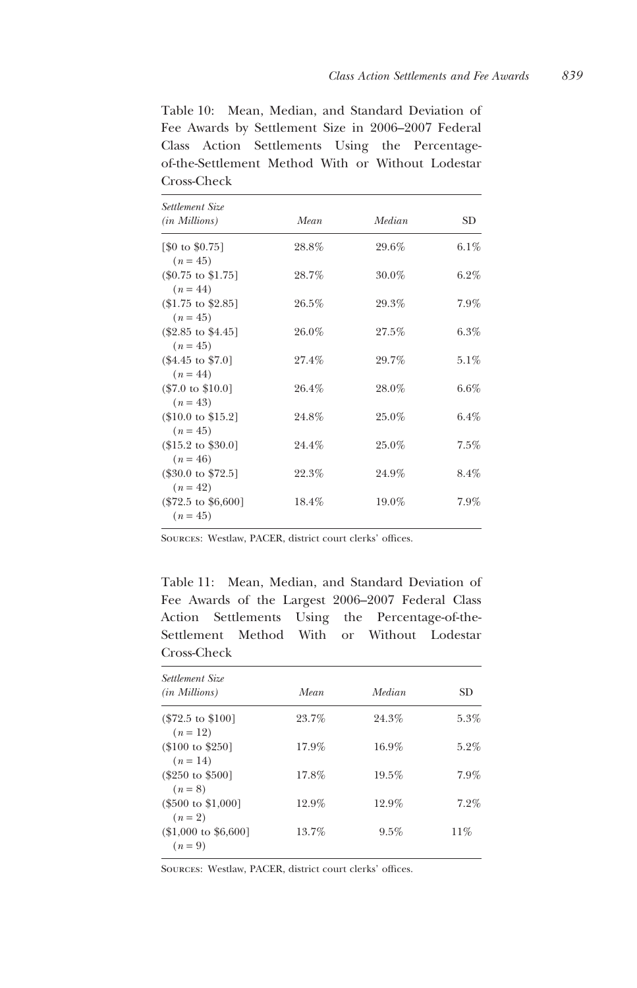Table 10: Mean, Median, and Standard Deviation of Fee Awards by Settlement Size in 2006–2007 Federal Class Action Settlements Using the Percentageof-the-Settlement Method With or Without Lodestar Cross-Check

| Settlement Size                                  |       |          |           |
|--------------------------------------------------|-------|----------|-----------|
| ( <i>in Millions</i> )                           | Mean  | Median   | <b>SD</b> |
| $\lceil $0 \text{ to } $0.75 \rceil$<br>$(n=45)$ | 28.8% | 29.6%    | $6.1\%$   |
| $(\$0.75$ to $\$1.75$ ]<br>$(n = 44)$            | 28.7% | $30.0\%$ | $6.2\%$   |
| $\$1.75$ to \$2.85]<br>$(n = 45)$                | 26.5% | 29.3%    | $7.9\%$   |
| $(\$2.85 \text{ to } \$4.45]$<br>$(n = 45)$      | 26.0% | 27.5%    | $6.3\%$   |
| $(\$4.45 \text{ to } \$7.0]$<br>$(n = 44)$       | 27.4% | 29.7%    | $5.1\%$   |
| $(\$7.0 \text{ to } \$10.0]$<br>$(n=43)$         | 26.4% | 28.0%    | $6.6\%$   |
| $(\$10.0 \text{ to } \$15.2]$<br>$(n=45)$        | 24.8% | $25.0\%$ | $6.4\%$   |
| $$15.2 \text{ to } $30.0]$<br>$(n = 46)$         | 24.4% | $25.0\%$ | $7.5\%$   |
| $(\$30.0 \text{ to } \$72.5]$<br>$(n = 42)$      | 22.3% | 24.9%    | 8.4%      |
| $(\$72.5 \text{ to } $6,600]$<br>$(n=45)$        | 18.4% | 19.0%    | $7.9\%$   |

Sources: Westlaw, PACER, district court clerks' offices.

Table 11: Mean, Median, and Standard Deviation of Fee Awards of the Largest 2006–2007 Federal Class Action Settlements Using the Percentage-of-the-Settlement Method With or Without Lodestar Cross-Check

| Settlement Size                                 |       |         |         |
|-------------------------------------------------|-------|---------|---------|
| ( <i>in Millions</i> )                          | Mean  | Median  | SD      |
| $(\$72.5 \text{ to } $100]$<br>$(n=12)$         | 23.7% | 24.3%   | $5.3\%$ |
| $(\$100 \text{ to } \$250]$<br>$(n=14)$         | 17.9% | 16.9%   | $5.2\%$ |
| $(\$250 \text{ to } \$500]$<br>$(n = 8)$        | 17.8% | 19.5%   | 7.9%    |
| $(\$500 \text{ to } \$1,000]$                   | 12.9% | 12.9%   | $7.2\%$ |
| $(n = 2)$<br>$(\$1,000$ to $\$6,600$<br>$(n=9)$ | 13.7% | $9.5\%$ | 11%     |

Sources: Westlaw, PACER, district court clerks' offices.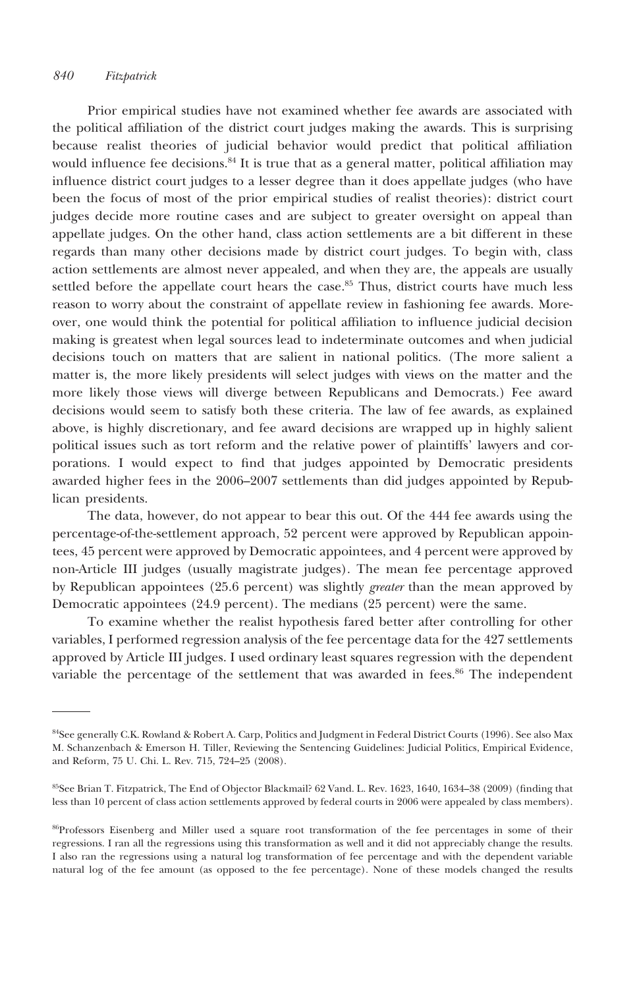Prior empirical studies have not examined whether fee awards are associated with the political affiliation of the district court judges making the awards. This is surprising because realist theories of judicial behavior would predict that political affiliation would influence fee decisions.<sup>84</sup> It is true that as a general matter, political affiliation may influence district court judges to a lesser degree than it does appellate judges (who have been the focus of most of the prior empirical studies of realist theories): district court judges decide more routine cases and are subject to greater oversight on appeal than appellate judges. On the other hand, class action settlements are a bit different in these regards than many other decisions made by district court judges. To begin with, class action settlements are almost never appealed, and when they are, the appeals are usually settled before the appellate court hears the case.<sup>85</sup> Thus, district courts have much less reason to worry about the constraint of appellate review in fashioning fee awards. Moreover, one would think the potential for political affiliation to influence judicial decision making is greatest when legal sources lead to indeterminate outcomes and when judicial decisions touch on matters that are salient in national politics. (The more salient a matter is, the more likely presidents will select judges with views on the matter and the more likely those views will diverge between Republicans and Democrats.) Fee award decisions would seem to satisfy both these criteria. The law of fee awards, as explained above, is highly discretionary, and fee award decisions are wrapped up in highly salient political issues such as tort reform and the relative power of plaintiffs' lawyers and corporations. I would expect to find that judges appointed by Democratic presidents awarded higher fees in the 2006–2007 settlements than did judges appointed by Republican presidents.

The data, however, do not appear to bear this out. Of the 444 fee awards using the percentage-of-the-settlement approach, 52 percent were approved by Republican appointees, 45 percent were approved by Democratic appointees, and 4 percent were approved by non-Article III judges (usually magistrate judges). The mean fee percentage approved by Republican appointees (25.6 percent) was slightly *greater* than the mean approved by Democratic appointees (24.9 percent). The medians (25 percent) were the same.

To examine whether the realist hypothesis fared better after controlling for other variables, I performed regression analysis of the fee percentage data for the 427 settlements approved by Article III judges. I used ordinary least squares regression with the dependent variable the percentage of the settlement that was awarded in fees.<sup>86</sup> The independent

<sup>&</sup>lt;sup>84</sup>See generally C.K. Rowland & Robert A. Carp, Politics and Judgment in Federal District Courts (1996). See also Max M. Schanzenbach & Emerson H. Tiller, Reviewing the Sentencing Guidelines: Judicial Politics, Empirical Evidence, and Reform, 75 U. Chi. L. Rev. 715, 724–25 (2008).

<sup>85</sup>See Brian T. Fitzpatrick, The End of Objector Blackmail? 62 Vand. L. Rev. 1623, 1640, 1634–38 (2009) (finding that less than 10 percent of class action settlements approved by federal courts in 2006 were appealed by class members).

<sup>86</sup>Professors Eisenberg and Miller used a square root transformation of the fee percentages in some of their regressions. I ran all the regressions using this transformation as well and it did not appreciably change the results. I also ran the regressions using a natural log transformation of fee percentage and with the dependent variable natural log of the fee amount (as opposed to the fee percentage). None of these models changed the results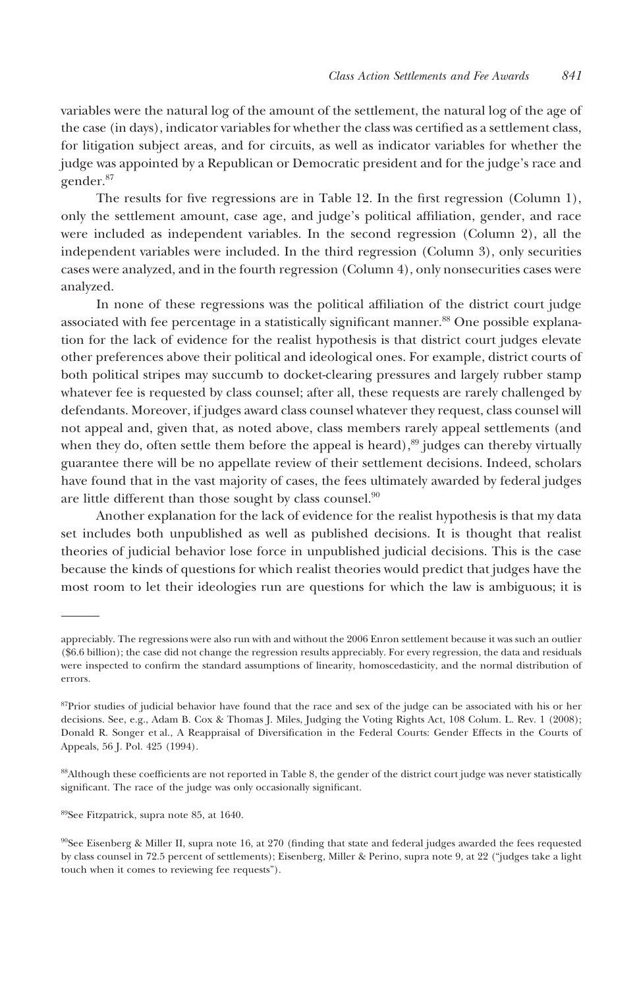variables were the natural log of the amount of the settlement, the natural log of the age of the case (in days), indicator variables for whether the class was certified as a settlement class, for litigation subject areas, and for circuits, as well as indicator variables for whether the judge was appointed by a Republican or Democratic president and for the judge's race and gender.87

The results for five regressions are in Table 12. In the first regression (Column 1), only the settlement amount, case age, and judge's political affiliation, gender, and race were included as independent variables. In the second regression (Column 2), all the independent variables were included. In the third regression (Column 3), only securities cases were analyzed, and in the fourth regression (Column 4), only nonsecurities cases were analyzed.

In none of these regressions was the political affiliation of the district court judge associated with fee percentage in a statistically significant manner.<sup>88</sup> One possible explanation for the lack of evidence for the realist hypothesis is that district court judges elevate other preferences above their political and ideological ones. For example, district courts of both political stripes may succumb to docket-clearing pressures and largely rubber stamp whatever fee is requested by class counsel; after all, these requests are rarely challenged by defendants. Moreover, if judges award class counsel whatever they request, class counsel will not appeal and, given that, as noted above, class members rarely appeal settlements (and when they do, often settle them before the appeal is heard), $89$  judges can thereby virtually guarantee there will be no appellate review of their settlement decisions. Indeed, scholars have found that in the vast majority of cases, the fees ultimately awarded by federal judges are little different than those sought by class counsel.<sup>90</sup>

Another explanation for the lack of evidence for the realist hypothesis is that my data set includes both unpublished as well as published decisions. It is thought that realist theories of judicial behavior lose force in unpublished judicial decisions. This is the case because the kinds of questions for which realist theories would predict that judges have the most room to let their ideologies run are questions for which the law is ambiguous; it is

appreciably. The regressions were also run with and without the 2006 Enron settlement because it was such an outlier (\$6.6 billion); the case did not change the regression results appreciably. For every regression, the data and residuals were inspected to confirm the standard assumptions of linearity, homoscedasticity, and the normal distribution of errors.

<sup>&</sup>lt;sup>87</sup>Prior studies of judicial behavior have found that the race and sex of the judge can be associated with his or her decisions. See, e.g., Adam B. Cox & Thomas J. Miles, Judging the Voting Rights Act, 108 Colum. L. Rev. 1 (2008); Donald R. Songer et al., A Reappraisal of Diversification in the Federal Courts: Gender Effects in the Courts of Appeals, 56 J. Pol. 425 (1994).

<sup>88</sup>Although these coefficients are not reported in Table 8, the gender of the district court judge was never statistically significant. The race of the judge was only occasionally significant.

<sup>89</sup>See Fitzpatrick, supra note 85, at 1640.

 $90$ See Eisenberg & Miller II, supra note 16, at 270 (finding that state and federal judges awarded the fees requested by class counsel in 72.5 percent of settlements); Eisenberg, Miller & Perino, supra note 9, at 22 ("judges take a light touch when it comes to reviewing fee requests").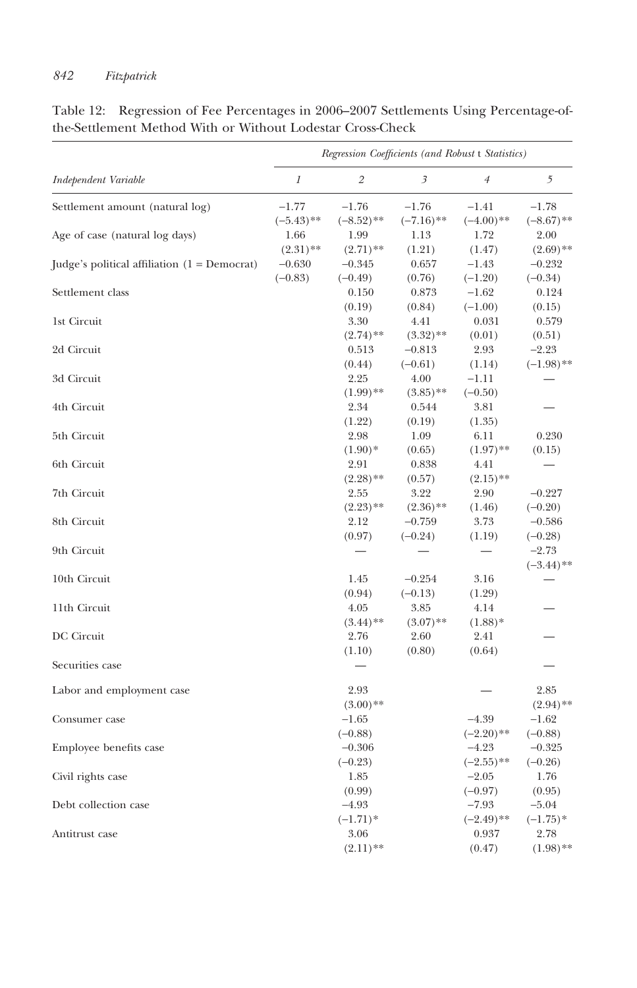|                                                | Regression Coefficients (and Robust t Statistics) |                |              |                |              |
|------------------------------------------------|---------------------------------------------------|----------------|--------------|----------------|--------------|
| Independent Variable                           | 1                                                 | $\overline{2}$ | 3            | $\overline{4}$ | 5            |
| Settlement amount (natural log)                | $-1.77$                                           | $-1.76$        | $-1.76$      | $-1.41$        | $-1.78$      |
|                                                | $(-5.43)$ **                                      | $(-8.52)$ **   | $(-7.16)$ ** | $(-4.00)$ **   | $(-8.67)$ ** |
| Age of case (natural log days)                 | 1.66                                              | 1.99           | 1.13         | 1.72           | 2.00         |
|                                                | $(2.31)$ **                                       | $(2.71)$ **    | (1.21)       | (1.47)         | $(2.69)$ **  |
| Judge's political affiliation $(1 =$ Democrat) | $-0.630$                                          | $-0.345$       | 0.657        | $-1.43$        | $-0.232$     |
|                                                | $(-0.83)$                                         | $(-0.49)$      | (0.76)       | $(-1.20)$      | $(-0.34)$    |
| Settlement class                               |                                                   | 0.150          | 0.873        | $-1.62$        | 0.124        |
|                                                |                                                   | (0.19)         | (0.84)       | $(-1.00)$      | (0.15)       |
| 1st Circuit                                    |                                                   | 3.30           | 4.41         | 0.031          | 0.579        |
|                                                |                                                   | $(2.74)$ **    | $(3.32)$ **  | (0.01)         | (0.51)       |
| 2d Circuit                                     |                                                   | 0.513          | $-0.813$     | 2.93           | $-2.23$      |
|                                                |                                                   | (0.44)         | $(-0.61)$    | (1.14)         | $(-1.98)$ ** |
| 3d Circuit                                     |                                                   | 2.25           | 4.00         | $-1.11$        |              |
|                                                |                                                   | $(1.99)$ **    | $(3.85)$ **  | $(-0.50)$      |              |
| 4th Circuit                                    |                                                   | 2.34           | 0.544        | 3.81           |              |
|                                                |                                                   | (1.22)         | (0.19)       | (1.35)         |              |
| 5th Circuit                                    |                                                   | 2.98           | 1.09         | 6.11           | 0.230        |
|                                                |                                                   | $(1.90)*$      | (0.65)       |                | (0.15)       |
| 6th Circuit                                    |                                                   |                | 0.838        | $(1.97)$ **    |              |
|                                                |                                                   | 2.91           |              | 4.41           |              |
|                                                |                                                   | $(2.28)$ **    | (0.57)       | $(2.15)$ **    |              |
| 7th Circuit                                    |                                                   | 2.55           | 3.22         | 2.90           | $-0.227$     |
|                                                |                                                   | $(2.23)$ **    | $(2.36)$ **  | (1.46)         | $(-0.20)$    |
| 8th Circuit                                    |                                                   | 2.12           | $-0.759$     | 3.73           | $-0.586$     |
|                                                |                                                   | (0.97)         | $(-0.24)$    | (1.19)         | $(-0.28)$    |
| 9th Circuit                                    |                                                   |                |              |                | $-2.73$      |
|                                                |                                                   |                |              |                | $(-3.44)$ ** |
| 10th Circuit                                   |                                                   | 1.45           | $-0.254$     | 3.16           |              |
|                                                |                                                   | (0.94)         | $(-0.13)$    | (1.29)         |              |
| 11th Circuit                                   |                                                   | 4.05           | 3.85         | 4.14           |              |
|                                                |                                                   | $(3.44)$ **    | $(3.07)$ **  | $(1.88)$ *     |              |
| DC Circuit                                     |                                                   | 2.76           | 2.60         | 2.41           |              |
|                                                |                                                   | (1.10)         | (0.80)       | (0.64)         |              |
| Securities case                                |                                                   |                |              |                |              |
|                                                |                                                   | 2.93           |              |                | 2.85         |
| Labor and employment case                      |                                                   |                |              |                |              |
|                                                |                                                   | $(3.00)$ **    |              |                | $(2.94)$ **  |
| Consumer case                                  |                                                   | $-1.65$        |              | $-4.39$        | $-1.62$      |
|                                                |                                                   | $(-0.88)$      |              | $(-2.20)$ **   | $(-0.88)$    |
| Employee benefits case                         |                                                   | $-0.306$       |              | $-4.23$        | $-0.325$     |
|                                                |                                                   | $(-0.23)$      |              | $(-2.55)$ **   | $(-0.26)$    |
| Civil rights case                              |                                                   | 1.85           |              | $-2.05$        | 1.76         |
|                                                |                                                   | (0.99)         |              | $(-0.97)$      | (0.95)       |
| Debt collection case                           |                                                   | $-4.93$        |              | $-7.93$        | $-5.04$      |
|                                                |                                                   | $(-1.71)^*$    |              | $(-2.49)$ **   | $(-1.75)*$   |
| Antitrust case                                 |                                                   | 3.06           |              | 0.937          | 2.78         |
|                                                |                                                   | $(2.11)$ **    |              | (0.47)         | $(1.98)$ **  |

### Table 12: Regression of Fee Percentages in 2006–2007 Settlements Using Percentage-ofthe-Settlement Method With or Without Lodestar Cross-Check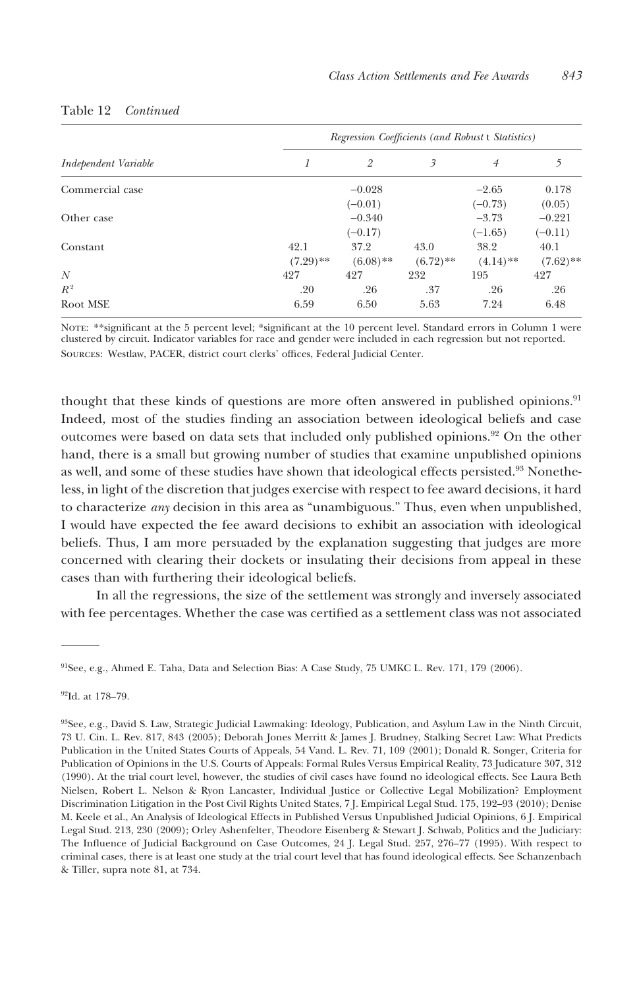| Independent Variable | Regression Coefficients (and Robust t Statistics) |             |             |             |             |
|----------------------|---------------------------------------------------|-------------|-------------|-------------|-------------|
|                      |                                                   | 2           | 3           | 4           | 5           |
| Commercial case      |                                                   | $-0.028$    |             | $-2.65$     | 0.178       |
|                      |                                                   | $(-0.01)$   |             | $(-0.73)$   | (0.05)      |
| Other case           |                                                   | $-0.340$    |             | $-3.73$     | $-0.221$    |
|                      |                                                   | $(-0.17)$   |             | $(-1.65)$   | $(-0.11)$   |
| Constant             | 42.1                                              | 37.2        | 43.0        | 38.2        | 40.1        |
|                      | $(7.29)$ **                                       | $(6.08)$ ** | $(6.72)$ ** | $(4.14)$ ** | $(7.62)$ ** |
| N                    | 427                                               | 427         | 232         | 195         | 427         |
| $R^2$                | .20                                               | .26         | .37         | .26         | .26         |
| Root MSE             | 6.59                                              | 6.50        | 5.63        | 7.24        | 6.48        |

#### Table 12 *Continued*

NOTE: \*\*significant at the 5 percent level; \*significant at the 10 percent level. Standard errors in Column 1 were clustered by circuit. Indicator variables for race and gender were included in each regression but not reported. Sources: Westlaw, PACER, district court clerks' offices, Federal Judicial Center.

thought that these kinds of questions are more often answered in published opinions.<sup>91</sup> Indeed, most of the studies finding an association between ideological beliefs and case outcomes were based on data sets that included only published opinions.92 On the other hand, there is a small but growing number of studies that examine unpublished opinions as well, and some of these studies have shown that ideological effects persisted.93 Nonetheless, in light of the discretion that judges exercise with respect to fee award decisions, it hard to characterize *any* decision in this area as "unambiguous." Thus, even when unpublished, I would have expected the fee award decisions to exhibit an association with ideological beliefs. Thus, I am more persuaded by the explanation suggesting that judges are more concerned with clearing their dockets or insulating their decisions from appeal in these cases than with furthering their ideological beliefs.

In all the regressions, the size of the settlement was strongly and inversely associated with fee percentages. Whether the case was certified as a settlement class was not associated

92Id. at 178–79.

<sup>91</sup>See, e.g., Ahmed E. Taha, Data and Selection Bias: A Case Study, 75 UMKC L. Rev. 171, 179 (2006).

<sup>93</sup>See, e.g., David S. Law, Strategic Judicial Lawmaking: Ideology, Publication, and Asylum Law in the Ninth Circuit, 73 U. Cin. L. Rev. 817, 843 (2005); Deborah Jones Merritt & James J. Brudney, Stalking Secret Law: What Predicts Publication in the United States Courts of Appeals, 54 Vand. L. Rev. 71, 109 (2001); Donald R. Songer, Criteria for Publication of Opinions in the U.S. Courts of Appeals: Formal Rules Versus Empirical Reality, 73 Judicature 307, 312 (1990). At the trial court level, however, the studies of civil cases have found no ideological effects. See Laura Beth Nielsen, Robert L. Nelson & Ryon Lancaster, Individual Justice or Collective Legal Mobilization? Employment Discrimination Litigation in the Post Civil Rights United States, 7 J. Empirical Legal Stud. 175, 192–93 (2010); Denise M. Keele et al., An Analysis of Ideological Effects in Published Versus Unpublished Judicial Opinions, 6 J. Empirical Legal Stud. 213, 230 (2009); Orley Ashenfelter, Theodore Eisenberg & Stewart J. Schwab, Politics and the Judiciary: The Influence of Judicial Background on Case Outcomes, 24 J. Legal Stud. 257, 276–77 (1995). With respect to criminal cases, there is at least one study at the trial court level that has found ideological effects. See Schanzenbach & Tiller, supra note 81, at 734.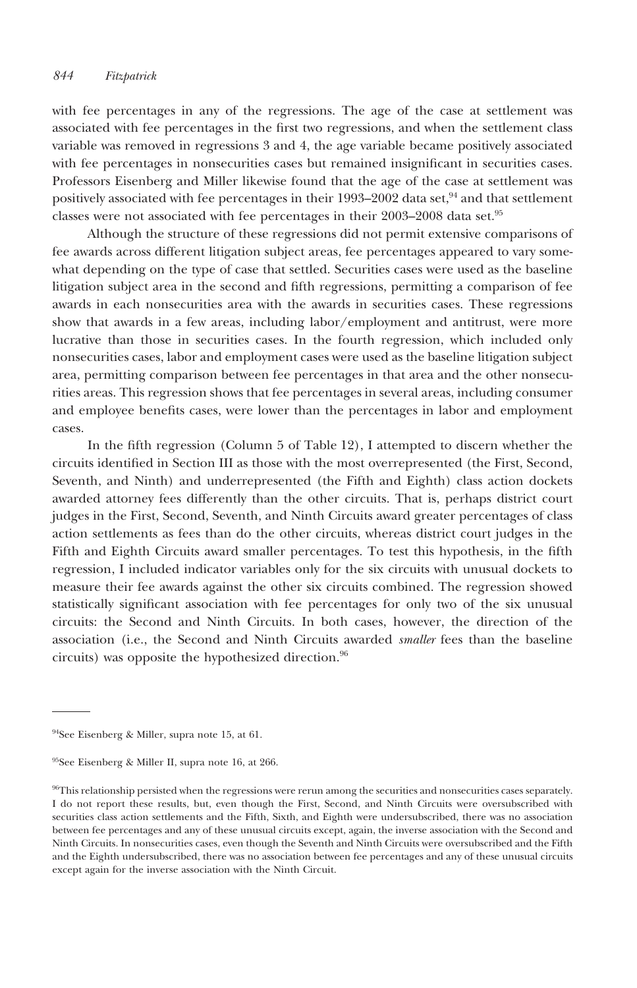with fee percentages in any of the regressions. The age of the case at settlement was associated with fee percentages in the first two regressions, and when the settlement class variable was removed in regressions 3 and 4, the age variable became positively associated with fee percentages in nonsecurities cases but remained insignificant in securities cases. Professors Eisenberg and Miller likewise found that the age of the case at settlement was positively associated with fee percentages in their 1993–2002 data set,<sup>94</sup> and that settlement classes were not associated with fee percentages in their 2003–2008 data set.<sup>95</sup>

Although the structure of these regressions did not permit extensive comparisons of fee awards across different litigation subject areas, fee percentages appeared to vary somewhat depending on the type of case that settled. Securities cases were used as the baseline litigation subject area in the second and fifth regressions, permitting a comparison of fee awards in each nonsecurities area with the awards in securities cases. These regressions show that awards in a few areas, including labor/employment and antitrust, were more lucrative than those in securities cases. In the fourth regression, which included only nonsecurities cases, labor and employment cases were used as the baseline litigation subject area, permitting comparison between fee percentages in that area and the other nonsecurities areas. This regression shows that fee percentages in several areas, including consumer and employee benefits cases, were lower than the percentages in labor and employment cases.

In the fifth regression (Column 5 of Table 12), I attempted to discern whether the circuits identified in Section III as those with the most overrepresented (the First, Second, Seventh, and Ninth) and underrepresented (the Fifth and Eighth) class action dockets awarded attorney fees differently than the other circuits. That is, perhaps district court judges in the First, Second, Seventh, and Ninth Circuits award greater percentages of class action settlements as fees than do the other circuits, whereas district court judges in the Fifth and Eighth Circuits award smaller percentages. To test this hypothesis, in the fifth regression, I included indicator variables only for the six circuits with unusual dockets to measure their fee awards against the other six circuits combined. The regression showed statistically significant association with fee percentages for only two of the six unusual circuits: the Second and Ninth Circuits. In both cases, however, the direction of the association (i.e., the Second and Ninth Circuits awarded *smaller* fees than the baseline circuits) was opposite the hypothesized direction.<sup>96</sup>

<sup>94</sup>See Eisenberg & Miller, supra note 15, at 61.

<sup>95</sup>See Eisenberg & Miller II, supra note 16, at 266.

<sup>96</sup>This relationship persisted when the regressions were rerun among the securities and nonsecurities cases separately. I do not report these results, but, even though the First, Second, and Ninth Circuits were oversubscribed with securities class action settlements and the Fifth, Sixth, and Eighth were undersubscribed, there was no association between fee percentages and any of these unusual circuits except, again, the inverse association with the Second and Ninth Circuits. In nonsecurities cases, even though the Seventh and Ninth Circuits were oversubscribed and the Fifth and the Eighth undersubscribed, there was no association between fee percentages and any of these unusual circuits except again for the inverse association with the Ninth Circuit.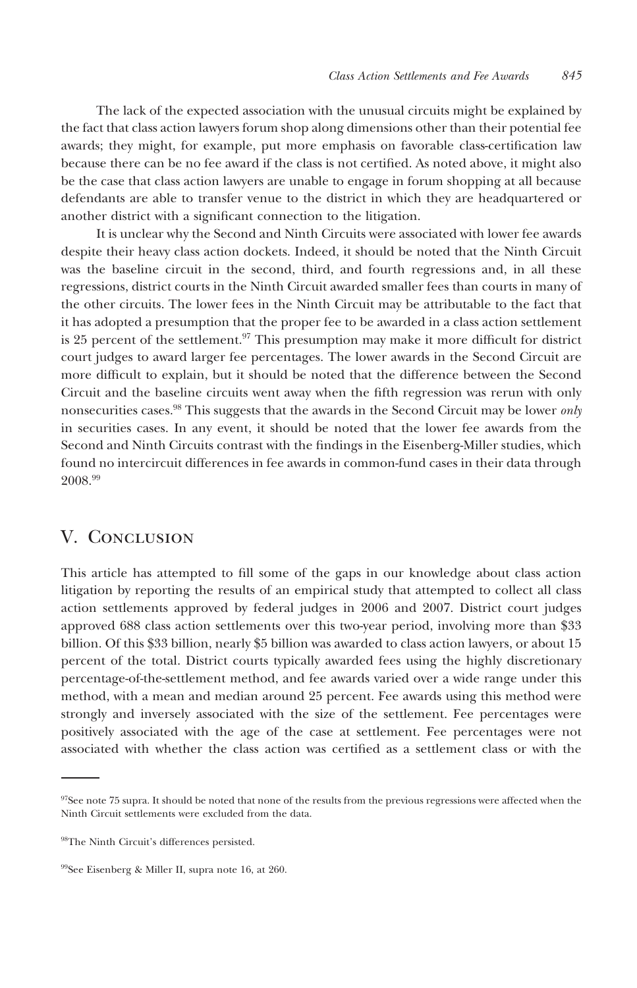The lack of the expected association with the unusual circuits might be explained by the fact that class action lawyers forum shop along dimensions other than their potential fee awards; they might, for example, put more emphasis on favorable class-certification law because there can be no fee award if the class is not certified. As noted above, it might also be the case that class action lawyers are unable to engage in forum shopping at all because defendants are able to transfer venue to the district in which they are headquartered or another district with a significant connection to the litigation.

It is unclear why the Second and Ninth Circuits were associated with lower fee awards despite their heavy class action dockets. Indeed, it should be noted that the Ninth Circuit was the baseline circuit in the second, third, and fourth regressions and, in all these regressions, district courts in the Ninth Circuit awarded smaller fees than courts in many of the other circuits. The lower fees in the Ninth Circuit may be attributable to the fact that it has adopted a presumption that the proper fee to be awarded in a class action settlement is 25 percent of the settlement.<sup>97</sup> This presumption may make it more difficult for district court judges to award larger fee percentages. The lower awards in the Second Circuit are more difficult to explain, but it should be noted that the difference between the Second Circuit and the baseline circuits went away when the fifth regression was rerun with only nonsecurities cases.98 This suggests that the awards in the Second Circuit may be lower *only* in securities cases. In any event, it should be noted that the lower fee awards from the Second and Ninth Circuits contrast with the findings in the Eisenberg-Miller studies, which found no intercircuit differences in fee awards in common-fund cases in their data through 2008.99

## V. Conclusion

This article has attempted to fill some of the gaps in our knowledge about class action litigation by reporting the results of an empirical study that attempted to collect all class action settlements approved by federal judges in 2006 and 2007. District court judges approved 688 class action settlements over this two-year period, involving more than \$33 billion. Of this \$33 billion, nearly \$5 billion was awarded to class action lawyers, or about 15 percent of the total. District courts typically awarded fees using the highly discretionary percentage-of-the-settlement method, and fee awards varied over a wide range under this method, with a mean and median around 25 percent. Fee awards using this method were strongly and inversely associated with the size of the settlement. Fee percentages were positively associated with the age of the case at settlement. Fee percentages were not associated with whether the class action was certified as a settlement class or with the

 $97$ See note 75 supra. It should be noted that none of the results from the previous regressions were affected when the Ninth Circuit settlements were excluded from the data.

<sup>98</sup>The Ninth Circuit's differences persisted.

<sup>99</sup>See Eisenberg & Miller II, supra note 16, at 260.